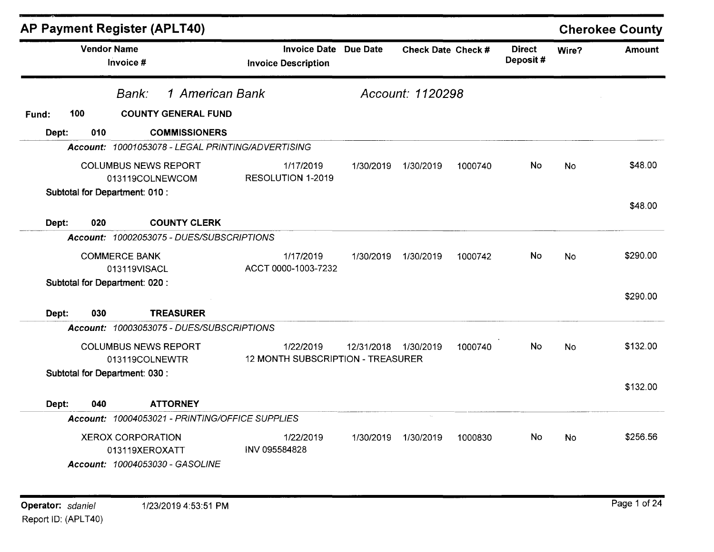|       |     | AP Payment Register (APLT40)                                                  |                                                            |            |                    |         |                           |           | <b>Cherokee County</b> |
|-------|-----|-------------------------------------------------------------------------------|------------------------------------------------------------|------------|--------------------|---------|---------------------------|-----------|------------------------|
|       |     | <b>Vendor Name</b><br>Invoice #                                               | <b>Invoice Date Due Date</b><br><b>Invoice Description</b> |            | Check Date Check # |         | <b>Direct</b><br>Deposit# | Wire?     | <b>Amount</b>          |
|       |     | 1 American Bank<br>Bank:                                                      |                                                            |            | Account: 1120298   |         |                           |           |                        |
| Fund: | 100 | <b>COUNTY GENERAL FUND</b>                                                    |                                                            |            |                    |         |                           |           |                        |
| Dept: | 010 | <b>COMMISSIONERS</b>                                                          |                                                            |            |                    |         |                           |           |                        |
|       |     | Account: 10001053078 - LEGAL PRINTING/ADVERTISING                             |                                                            |            |                    |         |                           |           |                        |
|       |     | <b>COLUMBUS NEWS REPORT</b><br>013119COLNEWCOM                                | 1/17/2019<br>RESOLUTION 1-2019                             | 1/30/2019  | 1/30/2019          | 1000740 | <b>No</b>                 | No        | \$48.00                |
|       |     | Subtotal for Department: 010 :                                                |                                                            |            |                    |         |                           |           | \$48.00                |
| Dept: | 020 | <b>COUNTY CLERK</b>                                                           |                                                            |            |                    |         |                           |           |                        |
|       |     | Account: 10002053075 - DUES/SUBSCRIPTIONS                                     |                                                            |            |                    |         |                           |           |                        |
|       |     | <b>COMMERCE BANK</b><br>013119VISACL                                          | 1/17/2019<br>ACCT 0000-1003-7232                           | 1/30/2019  | 1/30/2019          | 1000742 | No                        | No        | \$290.00               |
|       |     | Subtotal for Department: 020 :                                                |                                                            |            |                    |         |                           |           | \$290.00               |
| Dept: | 030 | <b>TREASURER</b>                                                              |                                                            |            |                    |         |                           |           |                        |
|       |     | Account: 10003053075 - DUES/SUBSCRIPTIONS                                     |                                                            |            |                    |         |                           |           |                        |
|       |     | <b>COLUMBUS NEWS REPORT</b><br>013119COLNEWTR                                 | 1/22/2019<br>12 MONTH SUBSCRIPTION - TREASURER             | 12/31/2018 | 1/30/2019          | 1000740 | No                        | <b>No</b> | \$132.00               |
|       |     | Subtotal for Department: 030 :                                                |                                                            |            |                    |         |                           |           | \$132.00               |
| Dept: | 040 | <b>ATTORNEY</b>                                                               |                                                            |            |                    |         |                           |           |                        |
|       |     | Account: 10004053021 - PRINTING/OFFICE SUPPLIES                               |                                                            |            | $\bar{u}_\alpha$   |         |                           |           |                        |
|       |     | <b>XEROX CORPORATION</b><br>013119XEROXATT<br>Account: 10004053030 - GASOLINE | 1/22/2019<br>INV 095584828                                 | 1/30/2019  | 1/30/2019          | 1000830 | No.                       | No        | \$256.56               |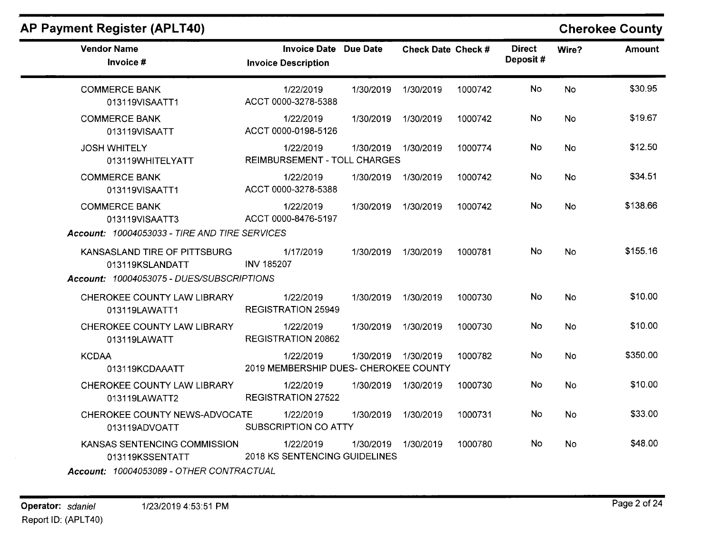| <b>Vendor Name</b><br>Invoice #                                                              | <b>Invoice Date Due Date</b><br><b>Invoice Description</b> |           | Check Date Check # |         | <b>Direct</b><br>Deposit# | Wire?     | <b>Amount</b> |
|----------------------------------------------------------------------------------------------|------------------------------------------------------------|-----------|--------------------|---------|---------------------------|-----------|---------------|
| <b>COMMERCE BANK</b><br>013119VISAATT1                                                       | 1/22/2019<br>ACCT 0000-3278-5388                           | 1/30/2019 | 1/30/2019          | 1000742 | <b>No</b>                 | <b>No</b> | \$30.95       |
| <b>COMMERCE BANK</b><br>013119VISAATT                                                        | 1/22/2019<br>ACCT 0000-0198-5126                           | 1/30/2019 | 1/30/2019          | 1000742 | No.                       | No.       | \$19.67       |
| <b>JOSH WHITELY</b><br>013119WHITELYATT                                                      | 1/22/2019<br><b>REIMBURSEMENT - TOLL CHARGES</b>           | 1/30/2019 | 1/30/2019          | 1000774 | <b>No</b>                 | <b>No</b> | \$12.50       |
| <b>COMMERCE BANK</b><br>013119VISAATT1                                                       | 1/22/2019<br>ACCT 0000-3278-5388                           | 1/30/2019 | 1/30/2019          | 1000742 | No.                       | No        | \$34.51       |
| <b>COMMERCE BANK</b><br>013119VISAATT3<br>Account: 10004053033 - TIRE AND TIRE SERVICES      | 1/22/2019<br>ACCT 0000-8476-5197                           | 1/30/2019 | 1/30/2019          | 1000742 | <b>No</b>                 | <b>No</b> | \$138.66      |
| KANSASLAND TIRE OF PITTSBURG<br>013119KSLANDATT<br>Account: 10004053075 - DUES/SUBSCRIPTIONS | 1/17/2019<br><b>INV 185207</b>                             | 1/30/2019 | 1/30/2019          | 1000781 | No.                       | <b>No</b> | \$155.16      |
| CHEROKEE COUNTY LAW LIBRARY<br>013119LAWATT1                                                 | 1/22/2019<br><b>REGISTRATION 25949</b>                     | 1/30/2019 | 1/30/2019          | 1000730 | No                        | <b>No</b> | \$10.00       |
| CHEROKEE COUNTY LAW LIBRARY<br>013119LAWATT                                                  | 1/22/2019<br><b>REGISTRATION 20862</b>                     | 1/30/2019 | 1/30/2019          | 1000730 | No                        | <b>No</b> | \$10.00       |
| <b>KCDAA</b><br>013119KCDAAATT                                                               | 1/22/2019<br>2019 MEMBERSHIP DUES- CHEROKEE COUNTY         | 1/30/2019 | 1/30/2019          | 1000782 | <b>No</b>                 | <b>No</b> | \$350.00      |
| CHEROKEE COUNTY LAW LIBRARY<br>013119LAWATT2                                                 | 1/22/2019<br><b>REGISTRATION 27522</b>                     | 1/30/2019 | 1/30/2019          | 1000730 | No.                       | <b>No</b> | \$10.00       |
| CHEROKEE COUNTY NEWS-ADVOCATE<br>013119ADVOATT                                               | 1/22/2019<br>SUBSCRIPTION CO ATTY                          | 1/30/2019 | 1/30/2019          | 1000731 | No                        | No        | \$33.00       |
| KANSAS SENTENCING COMMISSION<br>013119KSSENTATT<br>Account: 10004053089 - OTHER CONTRACTUAL  | 1/22/2019<br>2018 KS SENTENCING GUIDELINES                 | 1/30/2019 | 1/30/2019          | 1000780 | No.                       | <b>No</b> | \$48.00       |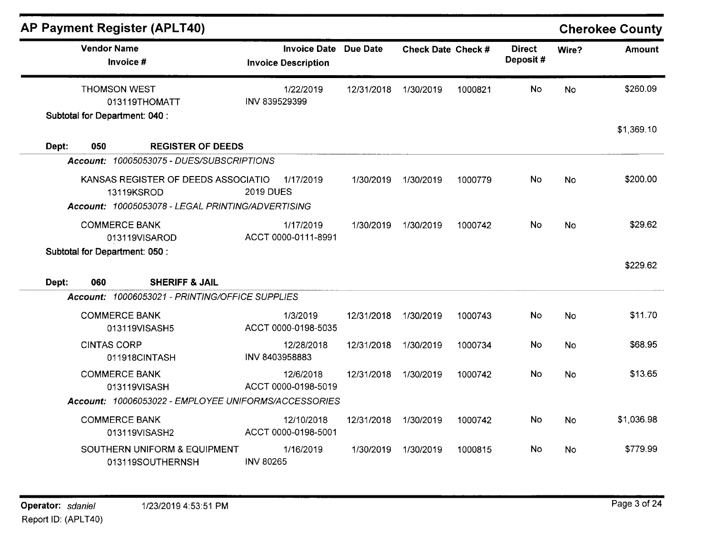| <b>AP Payment Register (APLT40)</b>                                                                    |                                                   |            |                           |         |                           |           | <b>Cherokee County</b> |
|--------------------------------------------------------------------------------------------------------|---------------------------------------------------|------------|---------------------------|---------|---------------------------|-----------|------------------------|
| <b>Vendor Name</b><br>Invoice #                                                                        | <b>Invoice Date</b><br><b>Invoice Description</b> | Due Date   | <b>Check Date Check #</b> |         | <b>Direct</b><br>Deposit# | Wire?     | <b>Amount</b>          |
| <b>THOMSON WEST</b><br>013119THOMATT<br>Subtotal for Department: 040 :                                 | 1/22/2019<br>INV 839529399                        | 12/31/2018 | 1/30/2019                 | 1000821 | No                        | No        | \$260.09               |
| Dept:<br>050<br><b>REGISTER OF DEEDS</b>                                                               |                                                   |            |                           |         |                           |           | \$1,369.10             |
| Account: 10005053075 - DUES/SUBSCRIPTIONS                                                              |                                                   |            |                           |         |                           |           |                        |
| KANSAS REGISTER OF DEEDS ASSOCIATIO<br>13119KSROD<br>Account: 10005053078 - LEGAL PRINTING/ADVERTISING | 1/17/2019<br><b>2019 DUES</b>                     | 1/30/2019  | 1/30/2019                 | 1000779 | No                        | <b>No</b> | \$200.00               |
| <b>COMMERCE BANK</b><br>013119VISAROD                                                                  | 1/17/2019<br>ACCT 0000-0111-8991                  | 1/30/2019  | 1/30/2019                 | 1000742 | No                        | No        | \$29.62                |
| Subtotal for Department: 050 :<br><b>SHERIFF &amp; JAIL</b><br>Dept:<br>060                            |                                                   |            |                           |         |                           |           | \$229.62               |
| Account: 10006053021 - PRINTING/OFFICE SUPPLIES                                                        |                                                   |            |                           |         |                           |           |                        |
| <b>COMMERCE BANK</b><br>013119VISASH5                                                                  | 1/3/2019<br>ACCT 0000-0198-5035                   | 12/31/2018 | 1/30/2019                 | 1000743 | <b>No</b>                 | No        | \$11.70                |
| <b>CINTAS CORP</b><br>011918CINTASH                                                                    | 12/28/2018<br>INV 8403958883                      | 12/31/2018 | 1/30/2019                 | 1000734 | <b>No</b>                 | No        | \$68.95                |
| <b>COMMERCE BANK</b><br>013119VISASH                                                                   | 12/6/2018<br>ACCT 0000-0198-5019                  | 12/31/2018 | 1/30/2019                 | 1000742 | <b>No</b>                 | No        | \$13.65                |
| Account: 10006053022 - EMPLOYEE UNIFORMS/ACCESSORIES                                                   |                                                   |            |                           |         |                           |           |                        |
| <b>COMMERCE BANK</b><br>013119VISASH2                                                                  | 12/10/2018<br>ACCT 0000-0198-5001                 | 12/31/2018 | 1/30/2019                 | 1000742 | No                        | <b>No</b> | \$1,036.98             |
| SOUTHERN UNIFORM & EQUIPMENT<br>013119SOUTHERNSH                                                       | 1/16/2019<br><b>INV 80265</b>                     | 1/30/2019  | 1/30/2019                 | 1000815 | No                        | <b>No</b> | \$779.99               |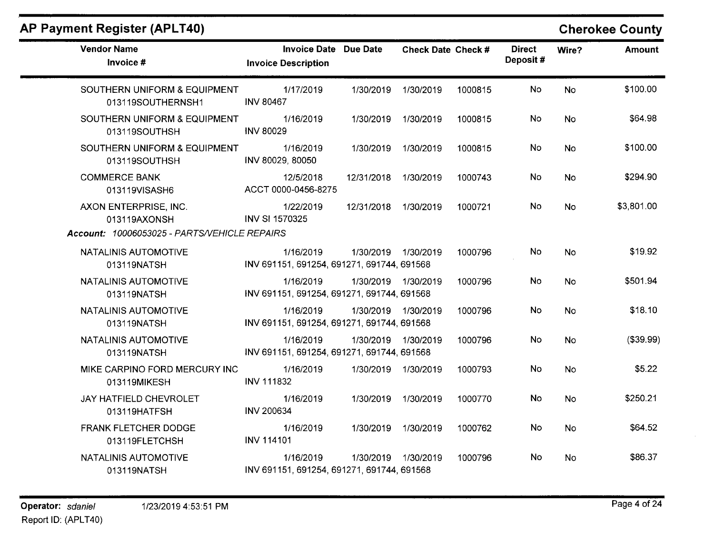| AP Payment Register (APLT40) |  |
|------------------------------|--|
|------------------------------|--|

| <b>Vendor Name</b><br>Invoice #                                                       | <b>Invoice Date Due Date</b><br><b>Invoice Description</b> |                     | Check Date Check # |         | <b>Direct</b><br>Deposit# | Wire?     | <b>Amount</b> |
|---------------------------------------------------------------------------------------|------------------------------------------------------------|---------------------|--------------------|---------|---------------------------|-----------|---------------|
| SOUTHERN UNIFORM & EQUIPMENT<br>013119SOUTHERNSH1                                     | 1/17/2019<br><b>INV 80467</b>                              | 1/30/2019           | 1/30/2019          | 1000815 | No                        | <b>No</b> | \$100.00      |
| SOUTHERN UNIFORM & EQUIPMENT<br>013119SOUTHSH                                         | 1/16/2019<br><b>INV 80029</b>                              | 1/30/2019           | 1/30/2019          | 1000815 | No                        | <b>No</b> | \$64.98       |
| SOUTHERN UNIFORM & EQUIPMENT<br>013119SOUTHSH                                         | 1/16/2019<br>INV 80029, 80050                              | 1/30/2019           | 1/30/2019          | 1000815 | No.                       | <b>No</b> | \$100.00      |
| <b>COMMERCE BANK</b><br>013119VISASH6                                                 | 12/5/2018<br>ACCT 0000-0456-8275                           | 12/31/2018          | 1/30/2019          | 1000743 | No.                       | <b>No</b> | \$294.90      |
| AXON ENTERPRISE, INC.<br>013119AXONSH<br>Account: 10006053025 - PARTS/VEHICLE REPAIRS | 1/22/2019<br><b>INV SI 1570325</b>                         | 12/31/2018          | 1/30/2019          | 1000721 | No                        | <b>No</b> | \$3,801.00    |
| NATALINIS AUTOMOTIVE<br>013119NATSH                                                   | 1/16/2019<br>INV 691151, 691254, 691271, 691744, 691568    | 1/30/2019 1/30/2019 |                    | 1000796 | No                        | No        | \$19.92       |
| NATALINIS AUTOMOTIVE<br>013119NATSH                                                   | 1/16/2019<br>INV 691151, 691254, 691271, 691744, 691568    | 1/30/2019 1/30/2019 |                    | 1000796 | No                        | No        | \$501.94      |
| <b>NATALINIS AUTOMOTIVE</b><br>013119NATSH                                            | 1/16/2019<br>INV 691151, 691254, 691271, 691744, 691568    | 1/30/2019 1/30/2019 |                    | 1000796 | No                        | <b>No</b> | \$18.10       |
| NATALINIS AUTOMOTIVE<br>013119NATSH                                                   | 1/16/2019<br>INV 691151, 691254, 691271, 691744, 691568    | 1/30/2019 1/30/2019 |                    | 1000796 | No.                       | <b>No</b> | (\$39.99)     |
| MIKE CARPINO FORD MERCURY INC<br>013119MIKESH                                         | 1/16/2019<br><b>INV 111832</b>                             | 1/30/2019           | 1/30/2019          | 1000793 | No                        | <b>No</b> | \$5.22        |
| JAY HATFIELD CHEVROLET<br>013119HATFSH                                                | 1/16/2019<br><b>INV 200634</b>                             | 1/30/2019           | 1/30/2019          | 1000770 | <b>No</b>                 | <b>No</b> | \$250.21      |
| FRANK FLETCHER DODGE<br>013119FLETCHSH                                                | 1/16/2019<br><b>INV 114101</b>                             | 1/30/2019           | 1/30/2019          | 1000762 | No                        | <b>No</b> | \$64.52       |
| NATALINIS AUTOMOTIVE<br>013119NATSH                                                   | 1/16/2019<br>INV 691151, 691254, 691271, 691744, 691568    | 1/30/2019           | 1/30/2019          | 1000796 | No.                       | <b>No</b> | \$86.37       |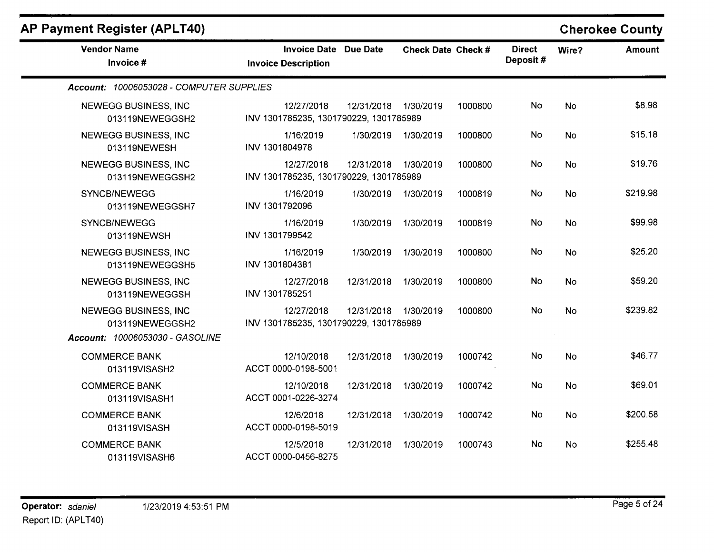|  |  |  | AP Payment Register (APLT40) |  |  |
|--|--|--|------------------------------|--|--|
|--|--|--|------------------------------|--|--|

| <b>Vendor Name</b><br>Invoice #                                            | <b>Invoice Date Due Date</b><br><b>Invoice Description</b> |            | Check Date Check # |         | <b>Direct</b><br>Deposit# | Wire?     | <b>Amount</b> |
|----------------------------------------------------------------------------|------------------------------------------------------------|------------|--------------------|---------|---------------------------|-----------|---------------|
| Account: 10006053028 - COMPUTER SUPPLIES                                   |                                                            |            |                    |         |                           |           |               |
| NEWEGG BUSINESS, INC<br>013119NEWEGGSH2                                    | 12/27/2018<br>INV 1301785235, 1301790229, 1301785989       | 12/31/2018 | 1/30/2019          | 1000800 | No                        | No        | \$8.98        |
| <b>NEWEGG BUSINESS, INC</b><br>013119NEWESH                                | 1/16/2019<br>INV 1301804978                                | 1/30/2019  | 1/30/2019          | 1000800 | No                        | No        | \$15.18       |
| NEWEGG BUSINESS, INC<br>013119NEWEGGSH2                                    | 12/27/2018<br>INV 1301785235, 1301790229, 1301785989       | 12/31/2018 | 1/30/2019          | 1000800 | No.                       | <b>No</b> | \$19.76       |
| <b>SYNCB/NEWEGG</b><br>013119NEWEGGSH7                                     | 1/16/2019<br>INV 1301792096                                | 1/30/2019  | 1/30/2019          | 1000819 | No                        | <b>No</b> | \$219.98      |
| SYNCB/NEWEGG<br>013119NEWSH                                                | 1/16/2019<br>INV 1301799542                                | 1/30/2019  | 1/30/2019          | 1000819 | No                        | <b>No</b> | \$99.98       |
| <b>NEWEGG BUSINESS, INC</b><br>013119NEWEGGSH5                             | 1/16/2019<br>INV 1301804381                                | 1/30/2019  | 1/30/2019          | 1000800 | No                        | <b>No</b> | \$25.20       |
| NEWEGG BUSINESS, INC<br>013119NEWEGGSH                                     | 12/27/2018<br>INV 1301785251                               | 12/31/2018 | 1/30/2019          | 1000800 | No                        | <b>No</b> | \$59.20       |
| NEWEGG BUSINESS, INC<br>013119NEWEGGSH2<br>Account: 10006053030 - GASOLINE | 12/27/2018<br>INV 1301785235, 1301790229, 1301785989       | 12/31/2018 | 1/30/2019          | 1000800 | No                        | <b>No</b> | \$239.82      |
| <b>COMMERCE BANK</b><br>013119VISASH2                                      | 12/10/2018<br>ACCT 0000-0198-5001                          | 12/31/2018 | 1/30/2019          | 1000742 | No                        | <b>No</b> | \$46.77       |
| <b>COMMERCE BANK</b><br>013119VISASH1                                      | 12/10/2018<br>ACCT 0001-0226-3274                          | 12/31/2018 | 1/30/2019          | 1000742 | No                        | <b>No</b> | \$69.01       |
| <b>COMMERCE BANK</b><br>013119VISASH                                       | 12/6/2018<br>ACCT 0000-0198-5019                           | 12/31/2018 | 1/30/2019          | 1000742 | <b>No</b>                 | <b>No</b> | \$200.58      |
| <b>COMMERCE BANK</b><br>013119VISASH6                                      | 12/5/2018<br>ACCT 0000-0456-8275                           | 12/31/2018 | 1/30/2019          | 1000743 | No                        | <b>No</b> | \$255.48      |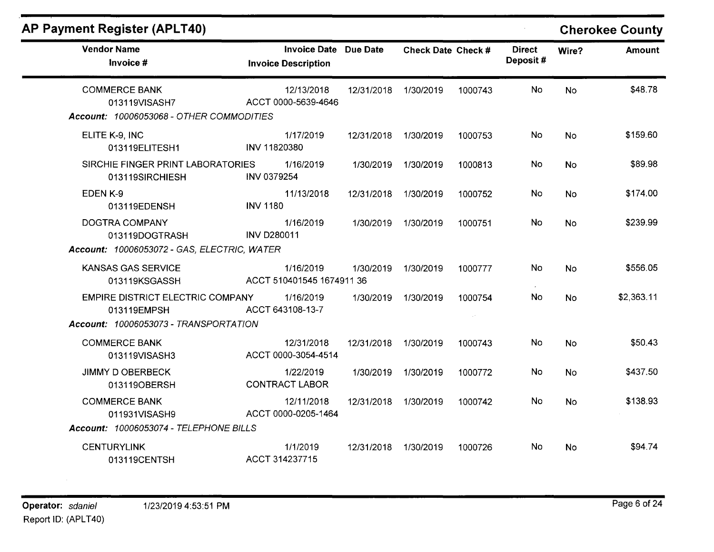| AP Payment Register (APLT40)                                                             |                                                            |                      |                    |         |                           |           | <b>Cherokee County</b> |
|------------------------------------------------------------------------------------------|------------------------------------------------------------|----------------------|--------------------|---------|---------------------------|-----------|------------------------|
| <b>Vendor Name</b><br>Invoice #                                                          | <b>Invoice Date Due Date</b><br><b>Invoice Description</b> |                      | Check Date Check # |         | <b>Direct</b><br>Deposit# | Wire?     | <b>Amount</b>          |
| <b>COMMERCE BANK</b><br>013119VISASH7<br>Account: 10006053068 - OTHER COMMODITIES        | 12/13/2018<br>ACCT 0000-5639-4646                          | 12/31/2018           | 1/30/2019          | 1000743 | No.                       | <b>No</b> | \$48.78                |
| ELITE K-9, INC<br>013119ELITESH1                                                         | 1/17/2019<br>INV 11820380                                  | 12/31/2018 1/30/2019 |                    | 1000753 | No                        | <b>No</b> | \$159.60               |
| SIRCHIE FINGER PRINT LABORATORIES<br>013119SIRCHIESH                                     | 1/16/2019<br>INV 0379254                                   | 1/30/2019            | 1/30/2019          | 1000813 | No                        | <b>No</b> | \$89.98                |
| EDEN K-9<br>013119EDENSH                                                                 | 11/13/2018<br><b>INV 1180</b>                              | 12/31/2018           | 1/30/2019          | 1000752 | No                        | <b>No</b> | \$174.00               |
| DOGTRA COMPANY<br>013119DOGTRASH<br>Account: 10006053072 - GAS, ELECTRIC, WATER          | 1/16/2019<br><b>INV D280011</b>                            | 1/30/2019            | 1/30/2019          | 1000751 | No                        | <b>No</b> | \$239.99               |
| KANSAS GAS SERVICE<br>013119KSGASSH                                                      | 1/16/2019<br>ACCT 510401545 1674911 36                     | 1/30/2019            | 1/30/2019          | 1000777 | No                        | <b>No</b> | \$556.05               |
| EMPIRE DISTRICT ELECTRIC COMPANY<br>013119EMPSH<br>Account: 10006053073 - TRANSPORTATION | 1/16/2019<br>ACCT 643108-13-7                              | 1/30/2019            | 1/30/2019          | 1000754 | No                        | <b>No</b> | \$2,363.11             |
| <b>COMMERCE BANK</b><br>013119VISASH3                                                    | 12/31/2018<br>ACCT 0000-3054-4514                          | 12/31/2018           | 1/30/2019          | 1000743 | No                        | <b>No</b> | \$50.43                |
| <b>JIMMY D OBERBECK</b><br>013119OBERSH                                                  | 1/22/2019<br><b>CONTRACT LABOR</b>                         | 1/30/2019            | 1/30/2019          | 1000772 | No.                       | <b>No</b> | \$437.50               |
| <b>COMMERCE BANK</b><br>011931VISASH9                                                    | 12/11/2018<br>ACCT 0000-0205-1464                          | 12/31/2018           | 1/30/2019          | 1000742 | No                        | <b>No</b> | \$138.93               |
| Account: 10006053074 - TELEPHONE BILLS                                                   |                                                            |                      |                    |         |                           |           |                        |
| <b>CENTURYLINK</b><br>013119CENTSH                                                       | 1/1/2019<br>ACCT 314237715                                 | 12/31/2018           | 1/30/2019          | 1000726 | No                        | No        | \$94.74                |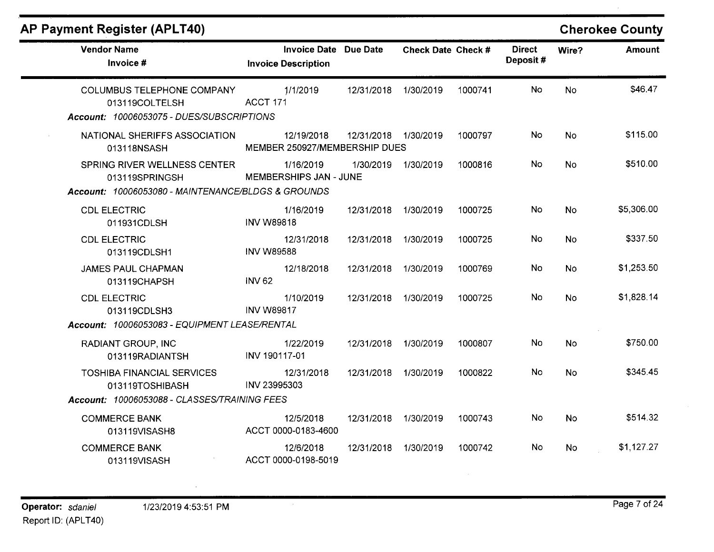### **AP Payment Register (APLT40)**

| <b>Vendor Name</b><br>Invoice #                                                                      | <b>Invoice Date Due Date</b><br><b>Invoice Description</b> |                      | <b>Check Date Check #</b> |         | <b>Direct</b><br>Deposit# | Wire?     | <b>Amount</b> |
|------------------------------------------------------------------------------------------------------|------------------------------------------------------------|----------------------|---------------------------|---------|---------------------------|-----------|---------------|
| <b>COLUMBUS TELEPHONE COMPANY</b><br>013119COLTELSH<br>Account: 10006053075 - DUES/SUBSCRIPTIONS     | 1/1/2019<br>ACCT 171                                       | 12/31/2018           | 1/30/2019                 | 1000741 | No                        | <b>No</b> | \$46.47       |
| NATIONAL SHERIFFS ASSOCIATION<br>013118NSASH                                                         | 12/19/2018<br>MEMBER 250927/MEMBERSHIP DUES                | 12/31/2018 1/30/2019 |                           | 1000797 | No                        | <b>No</b> | \$115.00      |
| SPRING RIVER WELLNESS CENTER<br>013119SPRINGSH<br>Account: 10006053080 - MAINTENANCE/BLDGS & GROUNDS | 1/16/2019<br>MEMBERSHIPS JAN - JUNE                        | 1/30/2019            | 1/30/2019                 | 1000816 | No                        | <b>No</b> | \$510.00      |
| <b>CDL ELECTRIC</b><br>011931CDLSH                                                                   | 1/16/2019<br><b>INV W89818</b>                             | 12/31/2018           | 1/30/2019                 | 1000725 | No                        | <b>No</b> | \$5,306.00    |
| <b>CDL ELECTRIC</b><br>013119CDLSH1                                                                  | 12/31/2018<br><b>INV W89588</b>                            | 12/31/2018           | 1/30/2019                 | 1000725 | No                        | <b>No</b> | \$337.50      |
| <b>JAMES PAUL CHAPMAN</b><br>013119CHAPSH                                                            | 12/18/2018<br><b>INV 62</b>                                | 12/31/2018           | 1/30/2019                 | 1000769 | No                        | <b>No</b> | \$1,253.50    |
| <b>CDL ELECTRIC</b><br>013119CDLSH3                                                                  | 1/10/2019<br><b>INV W89817</b>                             | 12/31/2018           | 1/30/2019                 | 1000725 | No                        | <b>No</b> | \$1,828.14    |
| Account: 10006053083 - EQUIPMENT LEASE/RENTAL                                                        |                                                            |                      |                           |         |                           |           |               |
| <b>RADIANT GROUP, INC</b><br>013119RADIANTSH                                                         | 1/22/2019<br>INV 190117-01                                 | 12/31/2018           | 1/30/2019                 | 1000807 | No.                       | <b>No</b> | \$750.00      |
| <b>TOSHIBA FINANCIAL SERVICES</b><br>013119TOSHIBASH                                                 | 12/31/2018<br>INV 23995303                                 | 12/31/2018           | 1/30/2019                 | 1000822 | <b>No</b>                 | <b>No</b> | \$345.45      |
| Account: 10006053088 - CLASSES/TRAINING FEES                                                         |                                                            |                      |                           |         |                           |           |               |
| <b>COMMERCE BANK</b><br>013119VISASH8                                                                | 12/5/2018<br>ACCT 0000-0183-4600                           | 12/31/2018           | 1/30/2019                 | 1000743 | <b>No</b>                 | <b>No</b> | \$514.32      |
| <b>COMMERCE BANK</b><br>013119VISASH                                                                 | 12/6/2018<br>ACCT 0000-0198-5019                           | 12/31/2018           | 1/30/2019                 | 1000742 | No                        | No        | \$1,127.27    |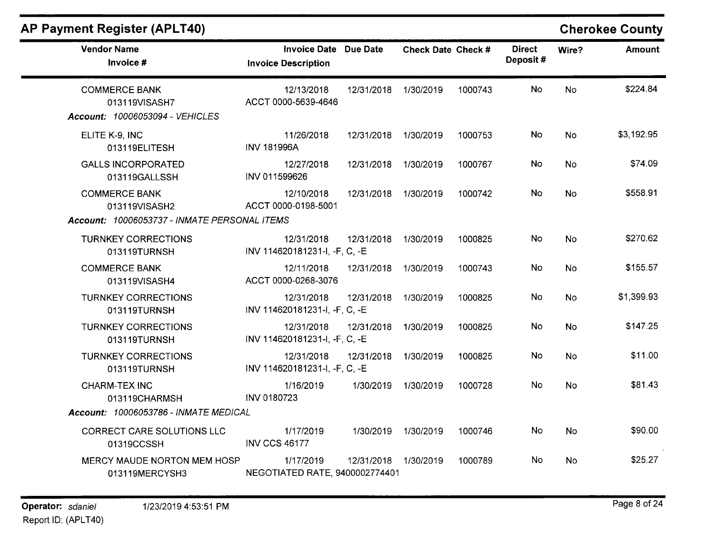| <b>Vendor Name</b><br>Invoice #                                                       | Invoice Date Due Date<br><b>Invoice Description</b> |            | <b>Check Date Check #</b> |         | <b>Direct</b><br>Deposit# | Wire?     | <b>Amount</b> |
|---------------------------------------------------------------------------------------|-----------------------------------------------------|------------|---------------------------|---------|---------------------------|-----------|---------------|
| <b>COMMERCE BANK</b><br>013119VISASH7<br>Account: 10006053094 - VEHICLES              | 12/13/2018<br>ACCT 0000-5639-4646                   | 12/31/2018 | 1/30/2019                 | 1000743 | <b>No</b>                 | <b>No</b> | \$224.84      |
| ELITE K-9, INC<br>013119ELITESH                                                       | 11/26/2018<br><b>INV 181996A</b>                    | 12/31/2018 | 1/30/2019                 | 1000753 | <b>No</b>                 | No        | \$3,192.95    |
| <b>GALLS INCORPORATED</b><br>013119GALLSSH                                            | 12/27/2018<br>INV 011599626                         | 12/31/2018 | 1/30/2019                 | 1000767 | <b>No</b>                 | <b>No</b> | \$74.09       |
| <b>COMMERCE BANK</b><br>013119VISASH2<br>Account: 10006053737 - INMATE PERSONAL ITEMS | 12/10/2018<br>ACCT 0000-0198-5001                   | 12/31/2018 | 1/30/2019                 | 1000742 | No                        | <b>No</b> | \$558.91      |
| <b>TURNKEY CORRECTIONS</b><br>013119TURNSH                                            | 12/31/2018<br>INV 114620181231-I, -F, C, -E         | 12/31/2018 | 1/30/2019                 | 1000825 | No                        | <b>No</b> | \$270.62      |
| <b>COMMERCE BANK</b><br>013119VISASH4                                                 | 12/11/2018<br>ACCT 0000-0268-3076                   | 12/31/2018 | 1/30/2019                 | 1000743 | No                        | No        | \$155.57      |
| <b>TURNKEY CORRECTIONS</b><br>013119TURNSH                                            | 12/31/2018<br>INV 114620181231-I, -F, C, -E         | 12/31/2018 | 1/30/2019                 | 1000825 | No                        | <b>No</b> | \$1,399.93    |
| <b>TURNKEY CORRECTIONS</b><br>013119TURNSH                                            | 12/31/2018<br>INV 114620181231-I, -F, C, -E         | 12/31/2018 | 1/30/2019                 | 1000825 | No                        | <b>No</b> | \$147.25      |
| <b>TURNKEY CORRECTIONS</b><br>013119TURNSH                                            | 12/31/2018<br>INV 114620181231-I, -F, C, -E         | 12/31/2018 | 1/30/2019                 | 1000825 | No                        | <b>No</b> | \$11.00       |
| <b>CHARM-TEX INC</b><br>013119CHARMSH<br>Account: 10006053786 - INMATE MEDICAL        | 1/16/2019<br><b>INV 0180723</b>                     | 1/30/2019  | 1/30/2019                 | 1000728 | No                        | <b>No</b> | \$81.43       |
| <b>CORRECT CARE SOLUTIONS LLC</b><br>01319CCSSH                                       | 1/17/2019<br><b>INV CCS 46177</b>                   | 1/30/2019  | 1/30/2019                 | 1000746 | <b>No</b>                 | <b>No</b> | \$90.00       |
| <b>MERCY MAUDE NORTON MEM HOSP</b><br>013119MERCYSH3                                  | 1/17/2019<br>NEGOTIATED RATE, 9400002774401         | 12/31/2018 | 1/30/2019                 | 1000789 | No.                       | <b>No</b> | \$25.27       |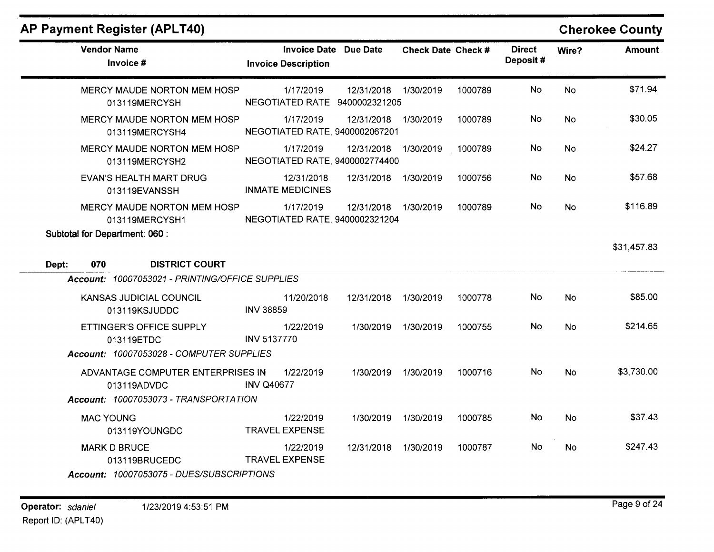| <b>Vendor Name</b><br>Invoice #                                                                                                       | Invoice Date Due Date<br><b>Invoice Description</b> |                      | Check Date Check # |         | <b>Direct</b><br>Deposit# | Wire?     | <b>Amount</b> |
|---------------------------------------------------------------------------------------------------------------------------------------|-----------------------------------------------------|----------------------|--------------------|---------|---------------------------|-----------|---------------|
| MERCY MAUDE NORTON MEM HOSP<br>013119MERCYSH                                                                                          | 1/17/2019<br>NEGOTIATED RATE 9400002321205          | 12/31/2018           | 1/30/2019          | 1000789 | No                        | <b>No</b> | \$71.94       |
| <b>MERCY MAUDE NORTON MEM HOSP</b><br>013119MERCYSH4                                                                                  | 1/17/2019<br>NEGOTIATED RATE, 9400002067201         | 12/31/2018 1/30/2019 |                    | 1000789 | No                        | <b>No</b> | \$30.05       |
| MERCY MAUDE NORTON MEM HOSP<br>013119MERCYSH2                                                                                         | 1/17/2019<br>NEGOTIATED RATE, 9400002774400         | 12/31/2018           | 1/30/2019          | 1000789 | No                        | <b>No</b> | \$24.27       |
| EVAN'S HEALTH MART DRUG<br>013119EVANSSH                                                                                              | 12/31/2018<br><b>INMATE MEDICINES</b>               | 12/31/2018           | 1/30/2019          | 1000756 | No                        | <b>No</b> | \$57.68       |
| MERCY MAUDE NORTON MEM HOSP<br>013119MERCYSH1                                                                                         | 1/17/2019<br>NEGOTIATED RATE, 9400002321204         | 12/31/2018           | 1/30/2019          | 1000789 | No                        | <b>No</b> | \$116.89      |
| Subtotal for Department: 060 :                                                                                                        |                                                     |                      |                    |         |                           |           | \$31,457.83   |
| <b>DISTRICT COURT</b><br>070<br>Dept:<br>Account: 10007053021 - PRINTING/OFFICE SUPPLIES                                              |                                                     |                      |                    |         |                           |           |               |
| KANSAS JUDICIAL COUNCIL<br>013119KSJUDDC                                                                                              | 11/20/2018<br><b>INV 38859</b>                      | 12/31/2018           | 1/30/2019          | 1000778 | No.                       | <b>No</b> | \$85.00       |
| ETTINGER'S OFFICE SUPPLY<br>013119ETDC                                                                                                | 1/22/2019<br><b>INV 5137770</b>                     | 1/30/2019            | 1/30/2019          | 1000755 | <b>No</b>                 | <b>No</b> | \$214.65      |
| Account: 10007053028 - COMPUTER SUPPLIES<br>ADVANTAGE COMPUTER ENTERPRISES IN<br>013119ADVDC<br>Account: 10007053073 - TRANSPORTATION | 1/22/2019<br><b>INV Q40677</b>                      | 1/30/2019            | 1/30/2019          | 1000716 | No                        | <b>No</b> | \$3,730.00    |
| <b>MAC YOUNG</b><br>013119YOUNGDC                                                                                                     | 1/22/2019<br><b>TRAVEL EXPENSE</b>                  | 1/30/2019            | 1/30/2019          | 1000785 | No                        | <b>No</b> | \$37.43       |
| <b>MARK D BRUCE</b><br>013119BRUCEDC<br>Account: 10007053075 - DUES/SUBSCRIPTIONS                                                     | 1/22/2019<br><b>TRAVEL EXPENSE</b>                  | 12/31/2018           | 1/30/2019          | 1000787 | No.                       | <b>No</b> | \$247.43      |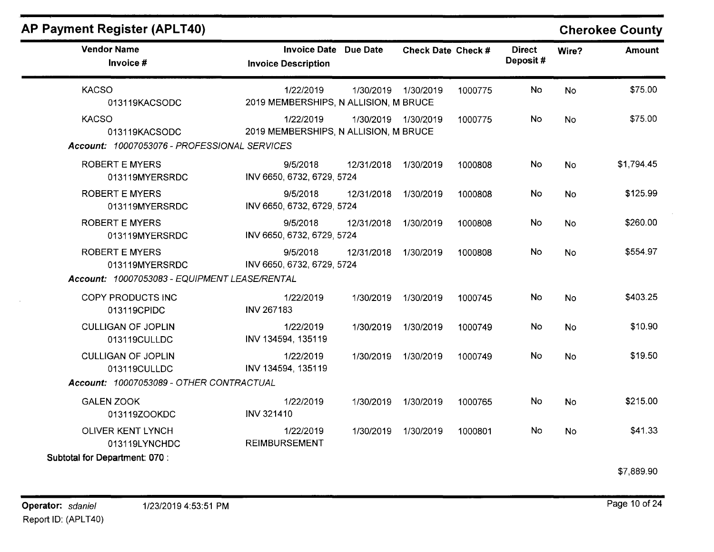| <b>Vendor Name</b><br>Invoice #                                               | Invoice Date Due Date<br><b>Invoice Description</b> |                     | Check Date Check # |         | <b>Direct</b><br>Deposit# | Wire?     | Amount     |
|-------------------------------------------------------------------------------|-----------------------------------------------------|---------------------|--------------------|---------|---------------------------|-----------|------------|
| <b>KACSO</b><br>013119KACSODC                                                 | 1/22/2019<br>2019 MEMBERSHIPS, N ALLISION, M BRUCE  | 1/30/2019           | 1/30/2019          | 1000775 | <b>No</b>                 | <b>No</b> | \$75.00    |
| <b>KACSO</b><br>013119KACSODC<br>Account: 10007053076 - PROFESSIONAL SERVICES | 1/22/2019<br>2019 MEMBERSHIPS, N ALLISION, M BRUCE  | 1/30/2019 1/30/2019 |                    | 1000775 | No.                       | <b>No</b> | \$75.00    |
| <b>ROBERT E MYERS</b><br>013119MYERSRDC                                       | 9/5/2018<br>INV 6650, 6732, 6729, 5724              | 12/31/2018          | 1/30/2019          | 1000808 | No                        | <b>No</b> | \$1,794.45 |
| <b>ROBERT E MYERS</b><br>013119MYERSRDC                                       | 9/5/2018<br>INV 6650, 6732, 6729, 5724              | 12/31/2018          | 1/30/2019          | 1000808 | <b>No</b>                 | <b>No</b> | \$125.99   |
| <b>ROBERT E MYERS</b><br>013119MYERSRDC                                       | 9/5/2018<br>INV 6650, 6732, 6729, 5724              | 12/31/2018          | 1/30/2019          | 1000808 | No                        | <b>No</b> | \$260.00   |
| <b>ROBERT E MYERS</b><br>013119MYERSRDC                                       | 9/5/2018<br>INV 6650, 6732, 6729, 5724              | 12/31/2018          | 1/30/2019          | 1000808 | <b>No</b>                 | <b>No</b> | \$554.97   |
| Account: 10007053083 - EQUIPMENT LEASE/RENTAL                                 |                                                     |                     |                    |         |                           |           |            |
| COPY PRODUCTS INC<br>013119CPIDC                                              | 1/22/2019<br><b>INV 267183</b>                      | 1/30/2019           | 1/30/2019          | 1000745 | <b>No</b>                 | <b>No</b> | \$403.25   |
| <b>CULLIGAN OF JOPLIN</b><br>013119CULLDC                                     | 1/22/2019<br>INV 134594, 135119                     | 1/30/2019           | 1/30/2019          | 1000749 | <b>No</b>                 | <b>No</b> | \$10.90    |
| <b>CULLIGAN OF JOPLIN</b><br>013119CULLDC                                     | 1/22/2019<br>INV 134594, 135119                     | 1/30/2019           | 1/30/2019          | 1000749 | No.                       | <b>No</b> | \$19.50    |
| Account: 10007053089 - OTHER CONTRACTUAL                                      |                                                     |                     |                    |         |                           |           |            |
| <b>GALEN ZOOK</b><br>013119ZOOKDC                                             | 1/22/2019<br><b>INV 321410</b>                      | 1/30/2019           | 1/30/2019          | 1000765 | No                        | <b>No</b> | \$215.00   |
| OLIVER KENT LYNCH<br>013119LYNCHDC                                            | 1/22/2019<br><b>REIMBURSEMENT</b>                   | 1/30/2019           | 1/30/2019          | 1000801 | No                        | <b>No</b> | \$41.33    |
| Subtotal for Department: 070 :                                                |                                                     |                     |                    |         |                           |           |            |

\$7,889.90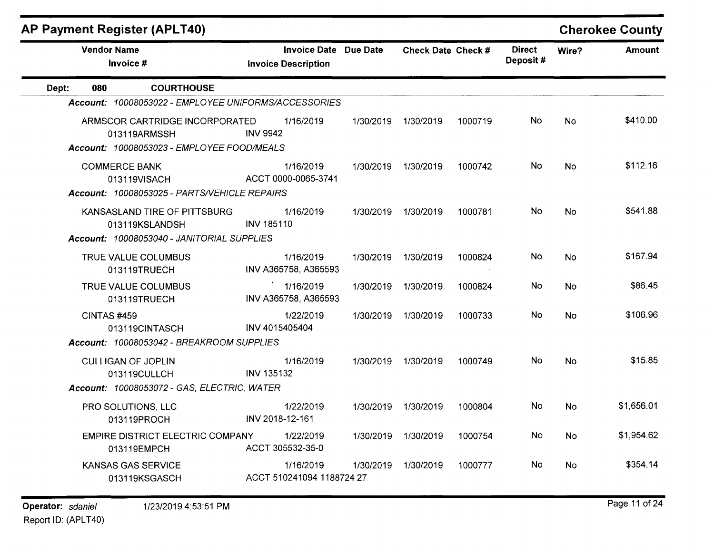| <b>Vendor Name</b><br>Invoice #                                                              | <b>Invoice Date Due Date</b><br><b>Invoice Description</b> |           | Check Date Check # |         | <b>Direct</b><br>Deposit# |           | Amount     |
|----------------------------------------------------------------------------------------------|------------------------------------------------------------|-----------|--------------------|---------|---------------------------|-----------|------------|
| <b>COURTHOUSE</b><br>080<br>Dept:                                                            |                                                            |           |                    |         |                           |           |            |
| Account: 10008053022 - EMPLOYEE UNIFORMS/ACCESSORIES                                         |                                                            |           |                    |         |                           |           |            |
| ARMSCOR CARTRIDGE INCORPORATED<br>013119ARMSSH<br>Account: 10008053023 - EMPLOYEE FOOD/MEALS | 1/16/2019<br><b>INV 9942</b>                               | 1/30/2019 | 1/30/2019          | 1000719 | No.                       | <b>No</b> | \$410.00   |
| <b>COMMERCE BANK</b><br>013119VISACH<br>Account: 10008053025 - PARTS/VEHICLE REPAIRS         | 1/16/2019<br>ACCT 0000-0065-3741                           | 1/30/2019 | 1/30/2019          | 1000742 | No                        | <b>No</b> | \$112.16   |
| KANSASLAND TIRE OF PITTSBURG<br>013119KSLANDSH<br>Account: 10008053040 - JANITORIAL SUPPLIES | 1/16/2019<br><b>INV 185110</b>                             | 1/30/2019 | 1/30/2019          | 1000781 | <b>No</b>                 | <b>No</b> | \$541.88   |
| TRUE VALUE COLUMBUS<br>013119TRUECH                                                          | 1/16/2019<br>INV A365758, A365593                          | 1/30/2019 | 1/30/2019          | 1000824 | No                        | <b>No</b> | \$167.94   |
| TRUE VALUE COLUMBUS<br>013119TRUECH                                                          | 1/16/2019<br>INV A365758, A365593                          | 1/30/2019 | 1/30/2019          | 1000824 | No.                       | <b>No</b> | \$86.45    |
| CINTAS #459<br>013119CINTASCH                                                                | 1/22/2019<br>INV 4015405404                                | 1/30/2019 | 1/30/2019          | 1000733 | No.                       | <b>No</b> | \$106.96   |
| Account: 10008053042 - BREAKROOM SUPPLIES                                                    |                                                            |           |                    |         |                           |           |            |
| <b>CULLIGAN OF JOPLIN</b><br>013119CULLCH                                                    | 1/16/2019<br>INV 135132                                    | 1/30/2019 | 1/30/2019          | 1000749 | No.                       | <b>No</b> | \$15.85    |
| Account: 10008053072 - GAS, ELECTRIC, WATER                                                  |                                                            |           |                    |         |                           |           |            |
| PRO SOLUTIONS, LLC<br>013119PROCH                                                            | 1/22/2019<br>INV 2018-12-161                               | 1/30/2019 | 1/30/2019          | 1000804 | <b>No</b>                 | <b>No</b> | \$1,656.01 |
| <b>EMPIRE DISTRICT ELECTRIC COMPANY</b><br>013119EMPCH                                       | 1/22/2019<br>ACCT 305532-35-0                              | 1/30/2019 | 1/30/2019          | 1000754 | <b>No</b>                 | No        | \$1,954.62 |
| <b>KANSAS GAS SERVICE</b><br>013119KSGASCH                                                   | 1/16/2019<br>ACCT 510241094 1188724 27                     | 1/30/2019 | 1/30/2019          | 1000777 | No.                       | <b>No</b> | \$354.14   |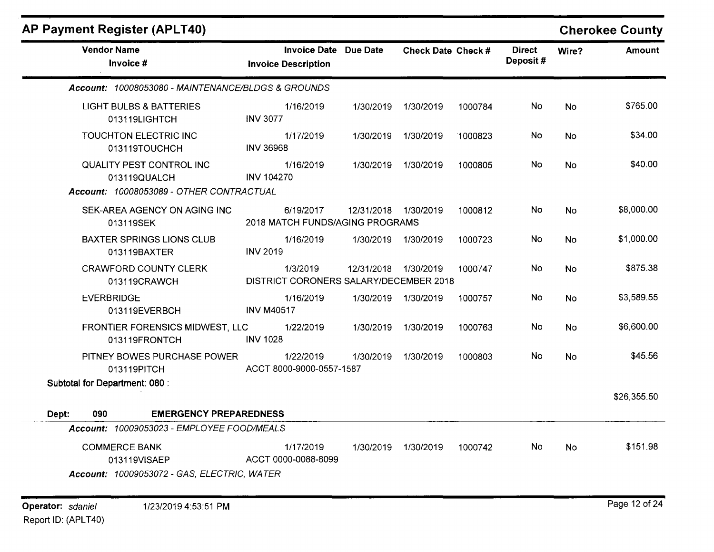| <b>AP Payment Register (APLT40)</b>                                                  |                                                                                 |            |                     |         |                           |           | <b>Cherokee County</b> |
|--------------------------------------------------------------------------------------|---------------------------------------------------------------------------------|------------|---------------------|---------|---------------------------|-----------|------------------------|
| <b>Vendor Name</b><br>Invoice #                                                      | <b>Invoice Date Due Date</b><br><b>Invoice Description</b>                      |            | Check Date Check #  |         | <b>Direct</b><br>Deposit# | Wire?     | <b>Amount</b>          |
| Account: 10008053080 - MAINTENANCE/BLDGS & GROUNDS                                   |                                                                                 |            |                     |         |                           |           |                        |
| <b>LIGHT BULBS &amp; BATTERIES</b><br>013119LIGHTCH                                  | 1/16/2019<br><b>INV 3077</b>                                                    | 1/30/2019  | 1/30/2019           | 1000784 | No.                       | <b>No</b> | \$765.00               |
| TOUCHTON ELECTRIC INC<br>013119TOUCHCH                                               | 1/17/2019<br><b>INV 36968</b>                                                   | 1/30/2019  | 1/30/2019           | 1000823 | No                        | <b>No</b> | \$34.00                |
| QUALITY PEST CONTROL INC<br>013119QUALCH<br>Account: 10008053089 - OTHER CONTRACTUAL | 1/16/2019<br><b>INV 104270</b>                                                  | 1/30/2019  | 1/30/2019           | 1000805 | No                        | No        | \$40.00                |
| SEK-AREA AGENCY ON AGING INC<br>013119SEK                                            | 6/19/2017<br>2018 MATCH FUNDS/AGING PROGRAMS                                    | 12/31/2018 | 1/30/2019           | 1000812 | No.                       | No        | \$8,000.00             |
| <b>BAXTER SPRINGS LIONS CLUB</b><br>013119BAXTER                                     | 1/16/2019<br><b>INV 2019</b>                                                    | 1/30/2019  | 1/30/2019           | 1000723 | No                        | <b>No</b> | \$1,000.00             |
| <b>CRAWFORD COUNTY CLERK</b><br>013119CRAWCH                                         | 1/3/2019<br>DISTRICT CORONERS SALARY/DECEMBER 2018                              | 12/31/2018 | 1/30/2019           | 1000747 | No.                       | <b>No</b> | \$875.38               |
| <b>EVERBRIDGE</b><br>013119EVERBCH                                                   | 1/16/2019<br><b>INV M40517</b>                                                  | 1/30/2019  | 1/30/2019           | 1000757 | No.                       | No        | \$3,589.55             |
| FRONTIER FORENSICS MIDWEST, LLC<br>013119FRONTCH                                     | 1/22/2019<br><b>INV 1028</b>                                                    | 1/30/2019  | 1/30/2019           | 1000763 | No                        | <b>No</b> | \$6,600.00             |
| PITNEY BOWES PURCHASE POWER<br>013119PITCH                                           | 1/22/2019<br>ACCT 8000-9000-0557-1587                                           |            | 1/30/2019 1/30/2019 | 1000803 | No.                       | No.       | \$45.56                |
| Subtotal for Department: 080 :                                                       |                                                                                 |            |                     |         |                           |           | \$26,355.50            |
| <b>EMERGENCY PREPAREDNESS</b><br>Dept:<br>090                                        |                                                                                 |            |                     |         |                           |           |                        |
| Account: 10009053023 - EMPLOYEE FOOD/MEALS                                           |                                                                                 |            |                     |         |                           |           |                        |
| <b>COMMERCE BANK</b><br>013119VISAEP                                                 | 1/17/2019<br>ACCT 0000-0088-8099<br>Account: 10009053072 - GAS, ELECTRIC, WATER | 1/30/2019  | 1/30/2019           | 1000742 | No                        | <b>No</b> | \$151.98               |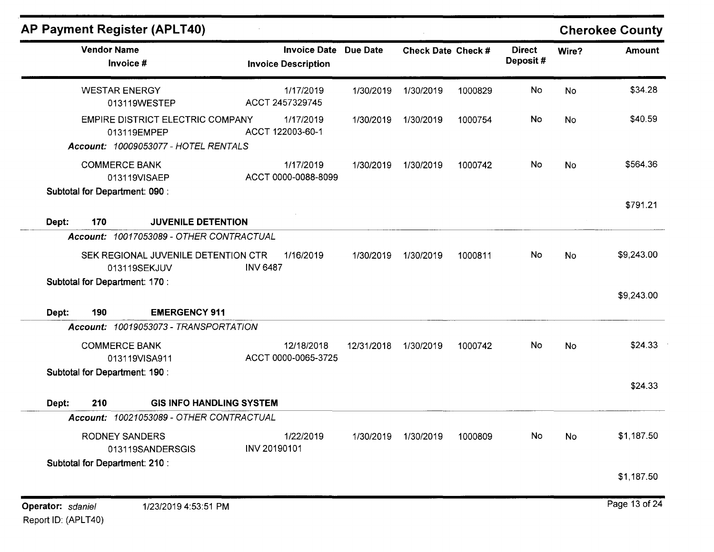| <b>Vendor Name</b><br>Invoice #                      |                                         | <b>Invoice Date Due Date</b><br><b>Invoice Description</b> |            | Check Date Check # |         | <b>Direct</b><br>Deposit# | Wire?     | <b>Amount</b> |
|------------------------------------------------------|-----------------------------------------|------------------------------------------------------------|------------|--------------------|---------|---------------------------|-----------|---------------|
| <b>WESTAR ENERGY</b><br>013119WESTEP                 |                                         | 1/17/2019<br>ACCT 2457329745                               | 1/30/2019  | 1/30/2019          | 1000829 | <b>No</b>                 | <b>No</b> | \$34.28       |
| 013119EMPEP<br>Account: 10009053077 - HOTEL RENTALS  | <b>EMPIRE DISTRICT ELECTRIC COMPANY</b> | 1/17/2019<br>ACCT 122003-60-1                              | 1/30/2019  | 1/30/2019          | 1000754 | No                        | <b>No</b> | \$40.59       |
| <b>COMMERCE BANK</b><br>013119VISAEP                 |                                         | 1/17/2019<br>ACCT 0000-0088-8099                           | 1/30/2019  | 1/30/2019          | 1000742 | <b>No</b>                 | <b>No</b> | \$564.36      |
| <b>Subtotal for Department: 090:</b><br>Dept:<br>170 | <b>JUVENILE DETENTION</b>               |                                                            |            |                    |         |                           |           | \$791.21      |
| Account: 10017053089 - OTHER CONTRACTUAL             |                                         |                                                            |            |                    |         |                           |           |               |
| 013119SEKJUV                                         | SEK REGIONAL JUVENILE DETENTION CTR     | 1/16/2019<br><b>INV 6487</b>                               | 1/30/2019  | 1/30/2019          | 1000811 | No                        | <b>No</b> | \$9,243.00    |
| <b>Subtotal for Department: 170:</b>                 |                                         |                                                            |            |                    |         |                           |           | \$9,243.00    |
| 190<br>Dept:                                         | <b>EMERGENCY 911</b>                    |                                                            |            |                    |         |                           |           |               |
| Account: 10019053073 - TRANSPORTATION                |                                         |                                                            |            |                    |         |                           |           |               |
| <b>COMMERCE BANK</b><br>013119VISA911                |                                         | 12/18/2018<br>ACCT 0000-0065-3725                          | 12/31/2018 | 1/30/2019          | 1000742 | No                        | <b>No</b> | \$24.33       |
| Subtotal for Department: 190 :                       |                                         |                                                            |            |                    |         |                           |           | \$24.33       |
| 210<br>Dept:                                         | <b>GIS INFO HANDLING SYSTEM</b>         |                                                            |            |                    |         |                           |           |               |
| Account: 10021053089 - OTHER CONTRACTUAL             |                                         |                                                            |            |                    |         |                           |           |               |
| <b>RODNEY SANDERS</b>                                |                                         | 1/22/2019<br>INV 20190101                                  | 1/30/2019  | 1/30/2019          | 1000809 | No                        | No        | \$1,187.50    |
| 013119SANDERSGIS<br>Subtotal for Department: 210 :   |                                         |                                                            |            |                    |         |                           |           |               |
|                                                      |                                         |                                                            |            |                    |         |                           |           |               |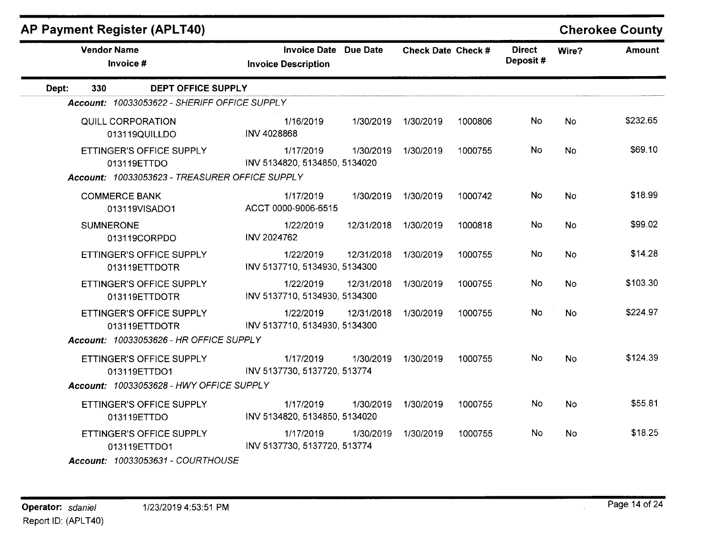## **AP Payment Register (APLT40)**

### **Cherokee County**

| <b>Vendor Name</b><br>Invoice #                                                           | <b>Invoice Date Due Date</b><br><b>Invoice Description</b> |            | Check Date Check # |         | <b>Direct</b><br>Deposit# | Wire?     | Amount   |
|-------------------------------------------------------------------------------------------|------------------------------------------------------------|------------|--------------------|---------|---------------------------|-----------|----------|
| <b>DEPT OFFICE SUPPLY</b><br>330<br>Dept:                                                 |                                                            |            |                    |         |                           |           |          |
| Account: 10033053622 - SHERIFF OFFICE SUPPLY                                              |                                                            |            |                    |         |                           |           |          |
| <b>QUILL CORPORATION</b><br>013119QUILLDO                                                 | 1/16/2019<br>INV 4028868                                   | 1/30/2019  | 1/30/2019          | 1000806 | No                        | <b>No</b> | \$232.65 |
| ETTINGER'S OFFICE SUPPLY<br>013119ETTDO<br>Account: 10033053623 - TREASURER OFFICE SUPPLY | 1/17/2019<br>INV 5134820, 5134850, 5134020                 | 1/30/2019  | 1/30/2019          | 1000755 | <b>No</b>                 | <b>No</b> | \$69.10  |
| <b>COMMERCE BANK</b><br>013119VISADO1                                                     | 1/17/2019<br>ACCT 0000-9006-6515                           | 1/30/2019  | 1/30/2019          | 1000742 | No.                       | <b>No</b> | \$18.99  |
| <b>SUMNERONE</b><br>013119CORPDO                                                          | 1/22/2019<br><b>INV 2024762</b>                            | 12/31/2018 | 1/30/2019          | 1000818 | No.                       | <b>No</b> | \$99.02  |
| ETTINGER'S OFFICE SUPPLY<br>013119ETTDOTR                                                 | 1/22/2019<br>INV 5137710, 5134930, 5134300                 | 12/31/2018 | 1/30/2019          | 1000755 | No                        | <b>No</b> | \$14.28  |
| ETTINGER'S OFFICE SUPPLY<br>013119ETTDOTR                                                 | 1/22/2019<br>INV 5137710, 5134930, 5134300                 | 12/31/2018 | 1/30/2019          | 1000755 | No                        | <b>No</b> | \$103.30 |
| ETTINGER'S OFFICE SUPPLY<br>013119ETTDOTR                                                 | 1/22/2019<br>INV 5137710, 5134930, 5134300                 | 12/31/2018 | 1/30/2019          | 1000755 | No                        | <b>No</b> | \$224.97 |
| <b>Account: 10033053626 - HR OFFICE SUPPLY</b>                                            |                                                            |            |                    |         |                           |           |          |
| ETTINGER'S OFFICE SUPPLY<br>013119ETTDO1                                                  | 1/17/2019<br>INV 5137730, 5137720, 513774                  | 1/30/2019  | 1/30/2019          | 1000755 | No.                       | <b>No</b> | \$124.39 |
| Account: 10033053628 - HWY OFFICE SUPPLY                                                  |                                                            |            |                    |         |                           |           |          |
| ETTINGER'S OFFICE SUPPLY<br>013119ETTDO                                                   | 1/17/2019<br>INV 5134820, 5134850, 5134020                 | 1/30/2019  | 1/30/2019          | 1000755 | <b>No</b>                 | <b>No</b> | \$55.81  |
| ETTINGER'S OFFICE SUPPLY<br>013119ETTDO1<br>Account: 10033053631 - COURTHOUSE             | 1/17/2019<br>INV 5137730, 5137720, 513774                  | 1/30/2019  | 1/30/2019          | 1000755 | No.                       | <b>No</b> | \$18.25  |

 $\mathbf{r}$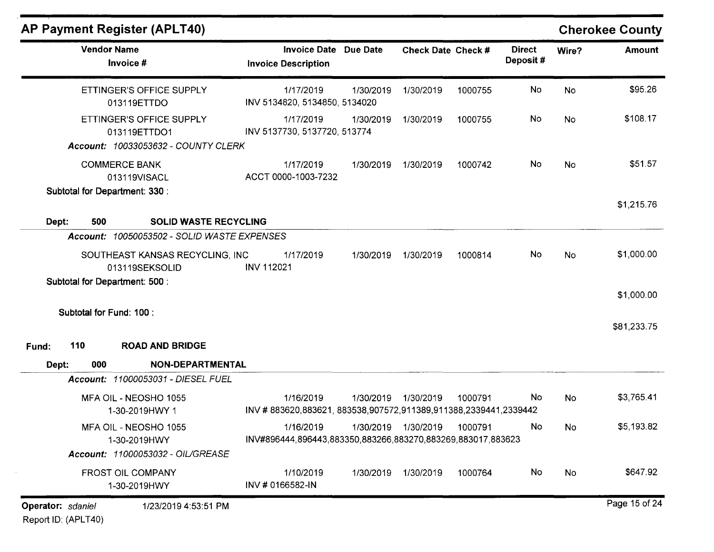|                   |                          | <b>AP Payment Register (APLT40)</b>                                                    |                                                                              |           |                           |         |                           |           | <b>Cherokee County</b> |
|-------------------|--------------------------|----------------------------------------------------------------------------------------|------------------------------------------------------------------------------|-----------|---------------------------|---------|---------------------------|-----------|------------------------|
|                   | <b>Vendor Name</b>       | Invoice #                                                                              | <b>Invoice Date Due Date</b><br><b>Invoice Description</b>                   |           | <b>Check Date Check #</b> |         | <b>Direct</b><br>Deposit# | Wire?     | <b>Amount</b>          |
|                   |                          | ETTINGER'S OFFICE SUPPLY<br>013119ETTDO                                                | 1/17/2019<br>INV 5134820, 5134850, 5134020                                   | 1/30/2019 | 1/30/2019                 | 1000755 | No                        | No        | \$95.26                |
|                   |                          | ETTINGER'S OFFICE SUPPLY<br>013119ETTDO1<br><b>Account: 10033053632 - COUNTY CLERK</b> | 1/17/2019<br>INV 5137730, 5137720, 513774                                    | 1/30/2019 | 1/30/2019                 | 1000755 | No                        | <b>No</b> | \$108.17               |
|                   |                          | <b>COMMERCE BANK</b><br>013119VISACL                                                   | 1/17/2019<br>ACCT 0000-1003-7232                                             | 1/30/2019 | 1/30/2019                 | 1000742 | No                        | <b>No</b> | \$51.57                |
| Dept:             | 500                      | Subtotal for Department: 330 :<br><b>SOLID WASTE RECYCLING</b>                         |                                                                              |           |                           |         |                           |           | \$1,215.76             |
|                   |                          | Account: 10050053502 - SOLID WASTE EXPENSES                                            |                                                                              |           |                           |         |                           |           |                        |
|                   |                          | SOUTHEAST KANSAS RECYCLING, INC<br>013119SEKSOLID                                      | 1/17/2019<br><b>INV 112021</b>                                               | 1/30/2019 | 1/30/2019                 | 1000814 | No                        | No        | \$1,000.00             |
|                   |                          | Subtotal for Department: 500 :                                                         |                                                                              |           |                           |         |                           |           | \$1,000.00             |
|                   | Subtotal for Fund: 100 : |                                                                                        |                                                                              |           |                           |         |                           |           | \$81,233.75            |
| Fund:             | 110                      | <b>ROAD AND BRIDGE</b>                                                                 |                                                                              |           |                           |         |                           |           |                        |
| Dept:             | 000                      | NON-DEPARTMENTAL                                                                       |                                                                              |           |                           |         |                           |           |                        |
|                   |                          | Account: 11000053031 - DIESEL FUEL                                                     |                                                                              |           |                           |         |                           |           |                        |
|                   |                          | MFA OIL - NEOSHO 1055<br>1-30-2019HWY 1                                                | 1/16/2019<br>INV #883620,883621, 883538,907572,911389,911388,2339441,2339442 | 1/30/2019 | 1/30/2019                 | 1000791 | No.                       | No        | \$3,765.41             |
|                   |                          | MFA OIL - NEOSHO 1055<br>1-30-2019HWY                                                  | 1/16/2019<br>INV#896444,896443,883350,883266,883270,883269,883017,883623     |           | 1/30/2019 1/30/2019       | 1000791 | No.                       | No.       | \$5,193.82             |
|                   |                          | Account: 11000053032 - OIL/GREASE                                                      |                                                                              |           |                           |         |                           |           |                        |
|                   |                          | <b>FROST OIL COMPANY</b><br>1-30-2019HWY                                               | 1/10/2019<br>INV # 0166582-IN                                                | 1/30/2019 | 1/30/2019                 | 1000764 | No                        | No        | \$647.92               |
| Operator: sdaniel |                          | 1/23/2019 4:53:51 PM                                                                   |                                                                              |           |                           |         |                           |           | Page 15 of 24          |

Report 10: (APLT40)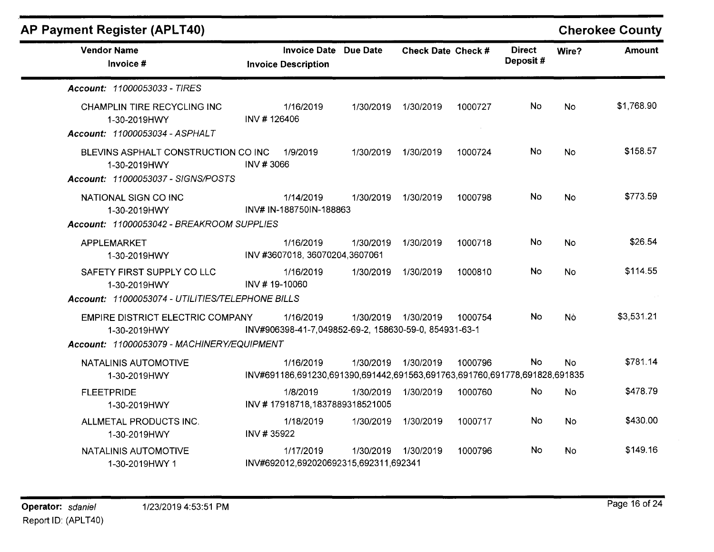| <b>AP Payment Register (APLT40)</b>                                                                   |               |                                                                                        |           |                     |         |                           |           | <b>Cherokee County</b> |
|-------------------------------------------------------------------------------------------------------|---------------|----------------------------------------------------------------------------------------|-----------|---------------------|---------|---------------------------|-----------|------------------------|
| <b>Vendor Name</b><br>Invoice #                                                                       |               | Invoice Date Due Date<br><b>Invoice Description</b>                                    |           | Check Date Check #  |         | <b>Direct</b><br>Deposit# | Wire?     | Amount                 |
| Account: 11000053033 - TIRES                                                                          |               |                                                                                        |           |                     |         |                           |           |                        |
| CHAMPLIN TIRE RECYCLING INC<br>1-30-2019HWY<br>Account: 11000053034 - ASPHALT                         | INV #126406   | 1/16/2019                                                                              | 1/30/2019 | 1/30/2019           | 1000727 | No                        | <b>No</b> | \$1,768.90             |
| BLEVINS ASPHALT CONSTRUCTION CO INC<br>1-30-2019HWY<br>Account: 11000053037 - SIGNS/POSTS             | INV #3066     | 1/9/2019                                                                               | 1/30/2019 | 1/30/2019           | 1000724 | No.                       | No        | \$158.57               |
| NATIONAL SIGN CO INC<br>1-30-2019HWY<br>Account: 11000053042 - BREAKROOM SUPPLIES                     |               | 1/14/2019<br>INV# IN-188750IN-188863                                                   |           | 1/30/2019 1/30/2019 | 1000798 | No                        | <b>No</b> | \$773.59               |
| APPLEMARKET<br>1-30-2019HWY                                                                           |               | 1/16/2019<br>INV #3607018, 36070204, 3607061                                           | 1/30/2019 | 1/30/2019           | 1000718 | No                        | <b>No</b> | \$26.54                |
| SAFETY FIRST SUPPLY CO LLC<br>1-30-2019HWY<br>Account: 11000053074 - UTILITIES/TELEPHONE BILLS        | INV #19-10060 | 1/16/2019                                                                              | 1/30/2019 | 1/30/2019           | 1000810 | No                        | <b>No</b> | \$114.55               |
| <b>EMPIRE DISTRICT ELECTRIC COMPANY</b><br>1-30-2019HWY<br>Account: 11000053079 - MACHINERY/EQUIPMENT |               | 1/16/2019<br>INV#906398-41-7,049852-69-2, 158630-59-0, 854931-63-1                     |           | 1/30/2019 1/30/2019 | 1000754 | No.                       | Nò        | \$3,531.21             |
| NATALINIS AUTOMOTIVE<br>1-30-2019HWY                                                                  |               | 1/16/2019<br>INV#691186,691230,691390,691442,691563,691763,691760,691778,691828,691835 | 1/30/2019 | 1/30/2019           | 1000796 | <b>No</b>                 | <b>No</b> | \$781.14               |
| <b>FLEETPRIDE</b><br>1-30-2019HWY                                                                     |               | 1/8/2019<br>INV #17918718,1837889318521005                                             | 1/30/2019 | 1/30/2019           | 1000760 | <b>No</b>                 | <b>No</b> | \$478.79               |
| ALLMETAL PRODUCTS INC.<br>1-30-2019HWY                                                                | INV #35922    | 1/18/2019                                                                              | 1/30/2019 | 1/30/2019           | 1000717 | <b>No</b>                 | <b>No</b> | \$430.00               |
| NATALINIS AUTOMOTIVE<br>1-30-2019HWY 1                                                                |               | 1/17/2019<br>INV#692012,692020692315,692311,692341                                     |           | 1/30/2019 1/30/2019 | 1000796 | No                        | No        | \$149.16               |

INV#692012,692020692315,692311,692341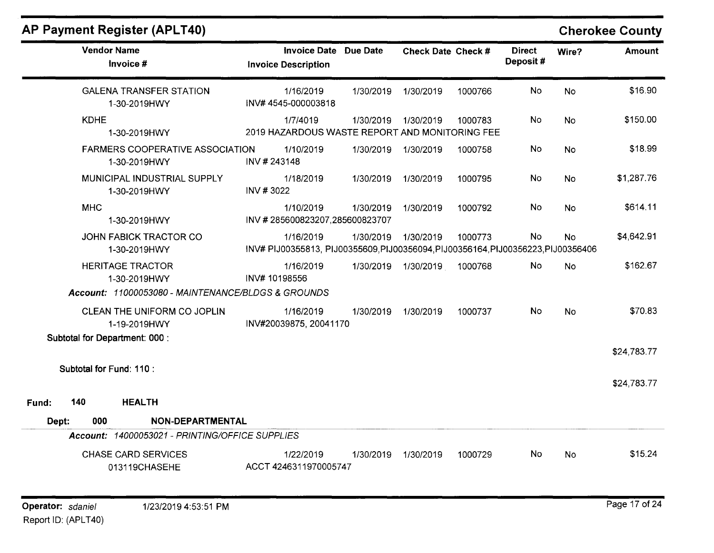|              | <b>AP Payment Register (APLT40)</b>                        |              |                                                                                                |           |                    |         |                           |                | <b>Cherokee County</b> |
|--------------|------------------------------------------------------------|--------------|------------------------------------------------------------------------------------------------|-----------|--------------------|---------|---------------------------|----------------|------------------------|
|              | <b>Vendor Name</b><br>Invoice #                            |              | Invoice Date Due Date<br><b>Invoice Description</b>                                            |           | Check Date Check # |         | <b>Direct</b><br>Deposit# | Wire?          | <b>Amount</b>          |
|              | <b>GALENA TRANSFER STATION</b><br>1-30-2019HWY             |              | 1/16/2019<br>INV#4545-000003818                                                                | 1/30/2019 | 1/30/2019          | 1000766 | No                        | <b>No</b>      | \$16.90                |
|              | <b>KDHE</b><br>1-30-2019HWY                                |              | 1/7/4019<br>2019 HAZARDOUS WASTE REPORT AND MONITORING FEE                                     | 1/30/2019 | 1/30/2019          | 1000783 | No                        | <b>No</b>      | \$150.00               |
|              | <b>FARMERS COOPERATIVE ASSOCIATION</b><br>1-30-2019HWY     | INV #243148  | 1/10/2019                                                                                      | 1/30/2019 | 1/30/2019          | 1000758 | No                        | No             | \$18.99                |
|              | MUNICIPAL INDUSTRIAL SUPPLY<br>1-30-2019HWY                | INV #3022    | 1/18/2019                                                                                      | 1/30/2019 | 1/30/2019          | 1000795 | No                        | <b>No</b>      | \$1,287.76             |
|              | <b>MHC</b><br>1-30-2019HWY                                 |              | 1/10/2019<br>INV #285600823207,285600823707                                                    | 1/30/2019 | 1/30/2019          | 1000792 | No                        | <b>No</b>      | \$614.11               |
|              | JOHN FABICK TRACTOR CO<br>1-30-2019HWY                     |              | 1/16/2019<br>INV# PIJ00355813, PIJ00355609, PIJ00356094, PIJ00356164, PIJ00356223, PIJ00356406 | 1/30/2019 | 1/30/2019          | 1000773 | <b>No</b>                 | <b>No</b>      | \$4,642.91             |
|              | <b>HERITAGE TRACTOR</b><br>1-30-2019HWY                    | INV#10198556 | 1/16/2019                                                                                      | 1/30/2019 | 1/30/2019          | 1000768 | No.                       | N <sub>o</sub> | \$162.67               |
|              | Account: 11000053080 - MAINTENANCE/BLDGS & GROUNDS         |              |                                                                                                |           |                    |         |                           |                |                        |
|              | CLEAN THE UNIFORM CO JOPLIN<br>1-19-2019HWY                |              | 1/16/2019<br>INV#20039875, 20041170                                                            | 1/30/2019 | 1/30/2019          | 1000737 | No                        | <b>No</b>      | \$70.83                |
|              | Subtotal for Department: 000 :<br>Subtotal for Fund: 110 : |              |                                                                                                |           |                    |         |                           |                | \$24,783.77            |
|              |                                                            |              |                                                                                                |           |                    |         |                           |                | \$24,783.77            |
| 140<br>Fund: | <b>HEALTH</b>                                              |              |                                                                                                |           |                    |         |                           |                |                        |
| Dept:        | <b>NON-DEPARTMENTAL</b><br>000                             |              |                                                                                                |           |                    |         |                           |                |                        |
|              | Account: 14000053021 - PRINTING/OFFICE SUPPLIES            |              |                                                                                                |           |                    |         |                           |                |                        |
|              | <b>CHASE CARD SERVICES</b><br>013119CHASEHE                |              | 1/22/2019<br>ACCT 4246311970005747                                                             | 1/30/2019 | 1/30/2019          | 1000729 | No.                       | <b>No</b>      | \$15.24                |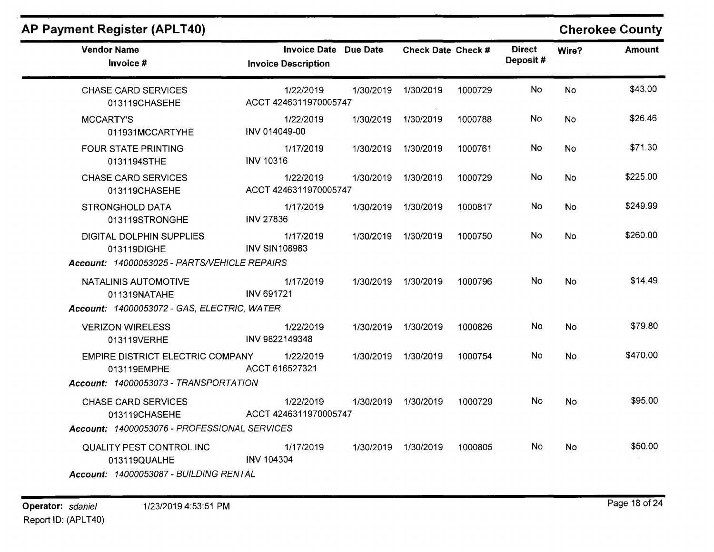| AP Payment Register (APLT40)                                                       |                                                     |           |                     |         |                           |                | <b>Cherokee County</b> |
|------------------------------------------------------------------------------------|-----------------------------------------------------|-----------|---------------------|---------|---------------------------|----------------|------------------------|
| <b>Vendor Name</b><br>Invoice #                                                    | Invoice Date Due Date<br><b>Invoice Description</b> |           | Check Date Check #  |         | <b>Direct</b><br>Deposit# | Wire?          | <b>Amount</b>          |
| <b>CHASE CARD SERVICES</b><br>013119CHASEHE                                        | 1/22/2019<br>ACCT 4246311970005747                  | 1/30/2019 | 1/30/2019           | 1000729 | No                        | <b>No</b>      | \$43.00                |
| <b>MCCARTY'S</b><br>011931MCCARTYHE                                                | 1/22/2019<br>INV 014049-00                          | 1/30/2019 | 1/30/2019           | 1000788 | No.                       | No.            | \$26.46                |
| <b>FOUR STATE PRINTING</b><br>0131194STHE                                          | 1/17/2019<br><b>INV 10316</b>                       |           | 1/30/2019 1/30/2019 | 1000761 | <b>No</b>                 | <b>No</b>      | \$71.30                |
| <b>CHASE CARD SERVICES</b><br>013119CHASEHE                                        | 1/22/2019<br>ACCT 4246311970005747                  |           | 1/30/2019 1/30/2019 | 1000729 | No.                       | No.            | \$225.00               |
| <b>STRONGHOLD DATA</b><br>013119STRONGHE                                           | 1/17/2019<br><b>INV 27836</b>                       |           | 1/30/2019 1/30/2019 | 1000817 | No.                       | <b>No</b>      | \$249.99               |
| DIGITAL DOLPHIN SUPPLIES<br>013119DIGHE                                            | 1/17/2019<br><b>INV SIN108983</b>                   |           | 1/30/2019 1/30/2019 | 1000750 | No.                       | <b>No</b>      | \$260.00               |
| Account: 14000053025 - PARTS/VEHICLE REPAIRS                                       |                                                     |           |                     |         |                           |                |                        |
| NATALINIS AUTOMOTIVE<br>011319NATAHE                                               | 1/17/2019<br><b>INV 691721</b>                      |           | 1/30/2019 1/30/2019 | 1000796 | No.                       | N <sub>o</sub> | \$14.49                |
| Account: 14000053072 - GAS, ELECTRIC, WATER                                        |                                                     |           |                     |         |                           |                |                        |
| <b>VERIZON WIRELESS</b><br>013119VERHE                                             | 1/22/2019<br>INV 9822149348                         |           | 1/30/2019 1/30/2019 | 1000826 | No                        | <b>No</b>      | \$79.80                |
| EMPIRE DISTRICT ELECTRIC COMPANY<br>013119EMPHE                                    | 1/22/2019<br>ACCT 616527321                         |           | 1/30/2019 1/30/2019 | 1000754 | No                        | No             | \$470.00               |
| Account: 14000053073 - TRANSPORTATION                                              |                                                     |           |                     |         |                           |                |                        |
| <b>CHASE CARD SERVICES</b><br>013119CHASEHE                                        | 1/22/2019<br>ACCT 4246311970005747                  |           | 1/30/2019 1/30/2019 | 1000729 | No                        | <b>No</b>      | \$95.00                |
| Account: 14000053076 - PROFESSIONAL SERVICES                                       |                                                     |           |                     |         |                           |                |                        |
| QUALITY PEST CONTROL INC<br>013119QUALHE<br>Account: 14000053087 - BUILDING RENTAL | 1/17/2019<br><b>INV 104304</b>                      |           | 1/30/2019 1/30/2019 | 1000805 | No.                       | <b>No</b>      | \$50.00                |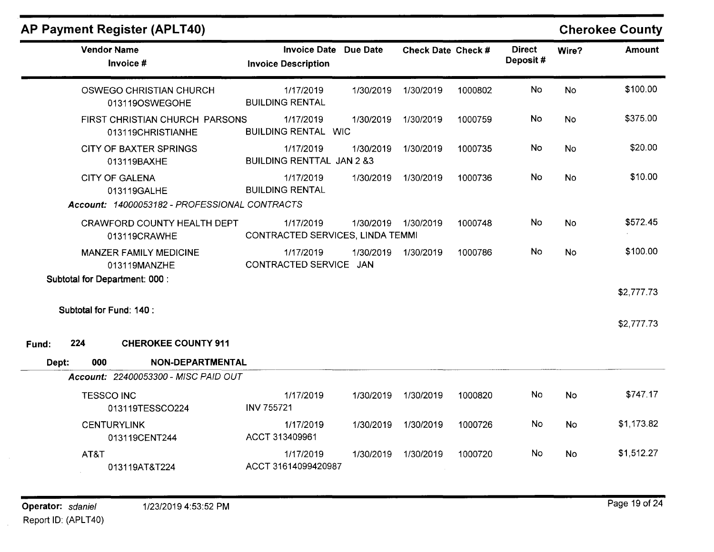### **AP Payment Register (APLT40)**

| <b>Vendor Name</b><br>Invoice #                                                       | <b>Invoice Date Due Date</b><br><b>Invoice Description</b> |           | Check Date Check # |         | <b>Direct</b><br>Deposit# | Wire?     | <b>Amount</b>            |
|---------------------------------------------------------------------------------------|------------------------------------------------------------|-----------|--------------------|---------|---------------------------|-----------|--------------------------|
| <b>OSWEGO CHRISTIAN CHURCH</b><br>013119OSWEGOHE                                      | 1/17/2019<br><b>BUILDING RENTAL</b>                        | 1/30/2019 | 1/30/2019          | 1000802 | <b>No</b>                 | <b>No</b> | \$100.00                 |
| FIRST CHRISTIAN CHURCH PARSONS<br>013119CHRISTIANHE                                   | 1/17/2019<br><b>BUILDING RENTAL WIC</b>                    | 1/30/2019 | 1/30/2019          | 1000759 | No                        | <b>No</b> | \$375.00                 |
| <b>CITY OF BAXTER SPRINGS</b><br>013119BAXHE                                          | 1/17/2019<br><b>BUILDING RENTTAL JAN 2 &amp;3</b>          | 1/30/2019 | 1/30/2019          | 1000735 | No                        | <b>No</b> | \$20.00                  |
| <b>CITY OF GALENA</b><br>013119GALHE<br>Account: 14000053182 - PROFESSIONAL CONTRACTS | 1/17/2019<br><b>BUILDING RENTAL</b>                        | 1/30/2019 | 1/30/2019          | 1000736 | No                        | <b>No</b> | \$10.00                  |
| <b>CRAWFORD COUNTY HEALTH DEPT</b><br>013119CRAWHE                                    | 1/17/2019<br>CONTRACTED SERVICES, LINDA TEMMI              | 1/30/2019 | 1/30/2019          | 1000748 | No                        | <b>No</b> | \$572.45                 |
| <b>MANZER FAMILY MEDICINE</b><br>013119MANZHE                                         | 1/17/2019<br>CONTRACTED SERVICE JAN                        | 1/30/2019 | 1/30/2019          | 1000786 | No                        | <b>No</b> | \$100.00                 |
| Subtotal for Department: 000 :<br>Subtotal for Fund: 140 :                            |                                                            |           |                    |         |                           |           | \$2,777.73<br>\$2,777.73 |
| 224<br><b>CHEROKEE COUNTY 911</b><br>Fund:                                            |                                                            |           |                    |         |                           |           |                          |
| 000<br>NON-DEPARTMENTAL<br>Dept:                                                      |                                                            |           |                    |         |                           |           |                          |
| Account: 22400053300 - MISC PAID OUT                                                  |                                                            |           |                    |         |                           |           |                          |
| <b>TESSCO INC</b><br>013119TESSCO224                                                  | 1/17/2019<br><b>INV 755721</b>                             | 1/30/2019 | 1/30/2019          | 1000820 | No                        | <b>No</b> | \$747.17                 |
| <b>CENTURYLINK</b><br>013119CENT244                                                   | 1/17/2019<br>ACCT 313409961                                | 1/30/2019 | 1/30/2019          | 1000726 | No                        | <b>No</b> | \$1,173.82               |
| AT&T<br>013119AT&T224                                                                 | 1/17/2019<br>ACCT 31614099420987                           | 1/30/2019 | 1/30/2019          | 1000720 | No                        | <b>No</b> | \$1,512.27               |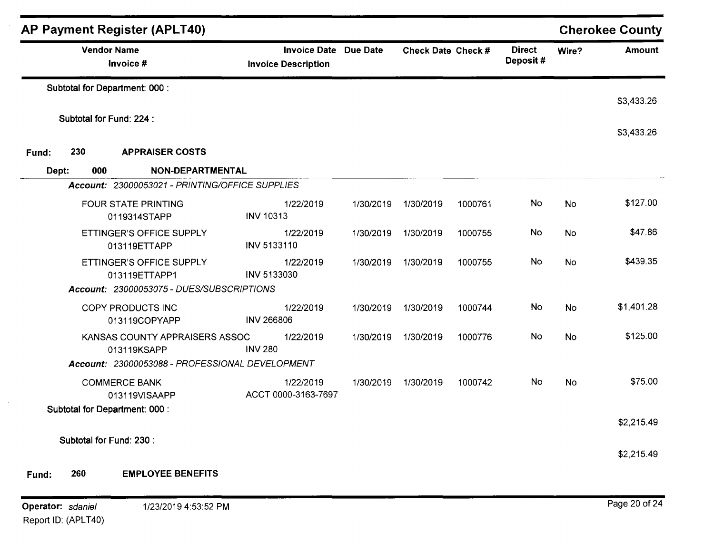|                   |                                            | <b>AP Payment Register (APLT40)</b>             |                                                            |           |                    |         |                           |           | <b>Cherokee County</b> |
|-------------------|--------------------------------------------|-------------------------------------------------|------------------------------------------------------------|-----------|--------------------|---------|---------------------------|-----------|------------------------|
|                   |                                            | <b>Vendor Name</b><br>Invoice #                 | <b>Invoice Date Due Date</b><br><b>Invoice Description</b> |           | Check Date Check # |         | <b>Direct</b><br>Deposit# | Wire?     | <b>Amount</b>          |
|                   |                                            | Subtotal for Department: 000 :                  |                                                            |           |                    |         |                           |           | \$3,433.26             |
|                   |                                            | Subtotal for Fund: 224 :                        |                                                            |           |                    |         |                           |           |                        |
|                   |                                            |                                                 |                                                            |           |                    |         |                           |           | \$3,433.26             |
| Fund:             | 230<br><b>APPRAISER COSTS</b>              |                                                 |                                                            |           |                    |         |                           |           |                        |
| Dept:             | 000                                        | NON-DEPARTMENTAL                                |                                                            |           |                    |         |                           |           |                        |
|                   |                                            | Account: 23000053021 - PRINTING/OFFICE SUPPLIES |                                                            |           |                    |         |                           |           |                        |
|                   | <b>FOUR STATE PRINTING</b><br>0119314STAPP |                                                 | 1/22/2019<br><b>INV 10313</b>                              | 1/30/2019 | 1/30/2019          | 1000761 | No                        | <b>No</b> | \$127.00               |
|                   | ETTINGER'S OFFICE SUPPLY<br>013119ETTAPP   |                                                 | 1/22/2019<br>INV 5133110                                   | 1/30/2019 | 1/30/2019          | 1000755 | No                        | <b>No</b> | \$47.86                |
|                   |                                            | ETTINGER'S OFFICE SUPPLY<br>013119ETTAPP1       | 1/22/2019<br>INV 5133030                                   | 1/30/2019 | 1/30/2019          | 1000755 | No                        | No        | \$439.35               |
|                   |                                            | Account: 23000053075 - DUES/SUBSCRIPTIONS       |                                                            |           |                    |         |                           |           |                        |
|                   |                                            | COPY PRODUCTS INC<br>013119COPYAPP              | 1/22/2019<br><b>INV 266806</b>                             | 1/30/2019 | 1/30/2019          | 1000744 | No                        | No        | \$1,401.28             |
|                   |                                            | KANSAS COUNTY APPRAISERS ASSOC<br>013119KSAPP   | 1/22/2019<br><b>INV 280</b>                                | 1/30/2019 | 1/30/2019          | 1000776 | No                        | <b>No</b> | \$125.00               |
|                   |                                            | Account: 23000053088 - PROFESSIONAL DEVELOPMENT |                                                            |           |                    |         |                           |           |                        |
|                   |                                            | <b>COMMERCE BANK</b><br>013119VISAAPP           | 1/22/2019<br>ACCT 0000-3163-7697                           | 1/30/2019 | 1/30/2019          | 1000742 | No                        | No        | \$75.00                |
|                   |                                            | Subtotal for Department: 000 :                  |                                                            |           |                    |         |                           |           |                        |
|                   |                                            | Subtotal for Fund: 230 :                        |                                                            |           |                    |         |                           |           | \$2,215.49             |
|                   |                                            |                                                 |                                                            |           |                    |         |                           |           | \$2,215.49             |
| Fund:             | 260                                        | <b>EMPLOYEE BENEFITS</b>                        |                                                            |           |                    |         |                           |           |                        |
| Operator: sdaniel |                                            | 1/23/2019 4:53:52 PM                            |                                                            |           |                    |         |                           |           | Page 20 of 24          |

Report ID: (APLT40)

 $\sim$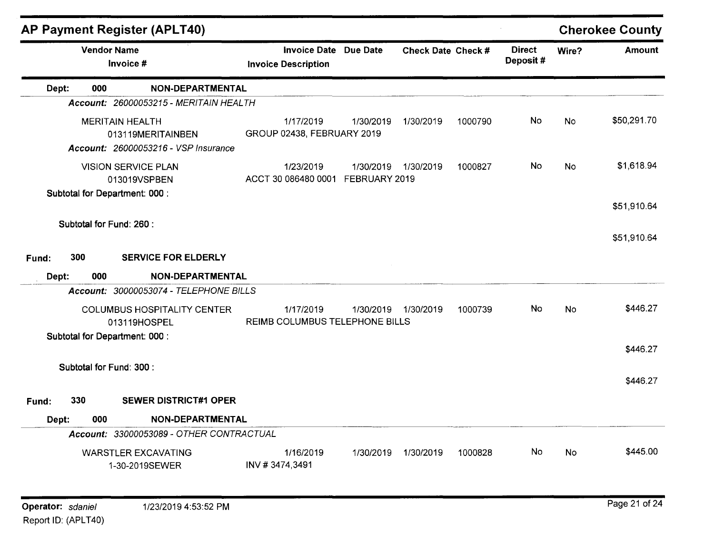|       |                                                            | <b>AP Payment Register (APLT40)</b>                              |                                                     |                            |                    |         |                           |           | <b>Cherokee County</b> |
|-------|------------------------------------------------------------|------------------------------------------------------------------|-----------------------------------------------------|----------------------------|--------------------|---------|---------------------------|-----------|------------------------|
|       | <b>Vendor Name</b><br>Invoice #                            |                                                                  | Invoice Date Due Date<br><b>Invoice Description</b> |                            | Check Date Check # |         | <b>Direct</b><br>Deposit# | Wire?     | <b>Amount</b>          |
| Dept: | 000                                                        | <b>NON-DEPARTMENTAL</b>                                          |                                                     |                            |                    |         |                           |           |                        |
|       |                                                            | Account: 26000053215 - MERITAIN HEALTH                           |                                                     |                            |                    |         |                           |           |                        |
|       | <b>MERITAIN HEALTH</b>                                     | 013119MERITAINBEN<br><b>Account: 26000053216 - VSP Insurance</b> | 1/17/2019<br>GROUP 02438, FEBRUARY 2019             | 1/30/2019                  | 1/30/2019          | 1000790 | <b>No</b>                 | <b>No</b> | \$50,291.70            |
|       |                                                            | <b>VISION SERVICE PLAN</b><br>013019VSPBEN                       | 1/23/2019<br>ACCT 30 086480 0001                    | 1/30/2019<br>FEBRUARY 2019 | 1/30/2019          | 1000827 | No.                       | No        | \$1,618.94             |
|       | Subtotal for Department: 000 :                             |                                                                  |                                                     |                            |                    |         |                           |           | \$51,910.64            |
|       | Subtotal for Fund: 260 :                                   |                                                                  |                                                     |                            |                    |         |                           |           | \$51,910.64            |
| Fund: | 300                                                        | <b>SERVICE FOR ELDERLY</b>                                       |                                                     |                            |                    |         |                           |           |                        |
| Dept: | 000                                                        | NON-DEPARTMENTAL                                                 |                                                     |                            |                    |         |                           |           |                        |
|       |                                                            | Account: 30000053074 - TELEPHONE BILLS                           |                                                     |                            |                    |         |                           |           |                        |
|       |                                                            | <b>COLUMBUS HOSPITALITY CENTER</b><br>013119HOSPEL               | 1/17/2019<br>REIMB COLUMBUS TELEPHONE BILLS         | 1/30/2019                  | 1/30/2019          | 1000739 | <b>No</b>                 | <b>No</b> | \$446.27               |
|       | Subtotal for Department: 000 :<br>Subtotal for Fund: 300 : |                                                                  |                                                     |                            |                    |         |                           |           | \$446.27               |
|       |                                                            |                                                                  |                                                     |                            |                    |         |                           |           | \$446.27               |
| Fund: | 330                                                        | <b>SEWER DISTRICT#1 OPER</b>                                     |                                                     |                            |                    |         |                           |           |                        |
| Dept: | 000                                                        | NON-DEPARTMENTAL                                                 |                                                     |                            |                    |         |                           |           |                        |
|       |                                                            | Account: 33000053089 - OTHER CONTRACTUAL                         |                                                     |                            |                    |         |                           |           |                        |
|       |                                                            | <b>WARSTLER EXCAVATING</b><br>1-30-2019SEWER                     | 1/16/2019<br>INV #3474,3491                         | 1/30/2019                  | 1/30/2019          | 1000828 | No                        | <b>No</b> | \$445.00               |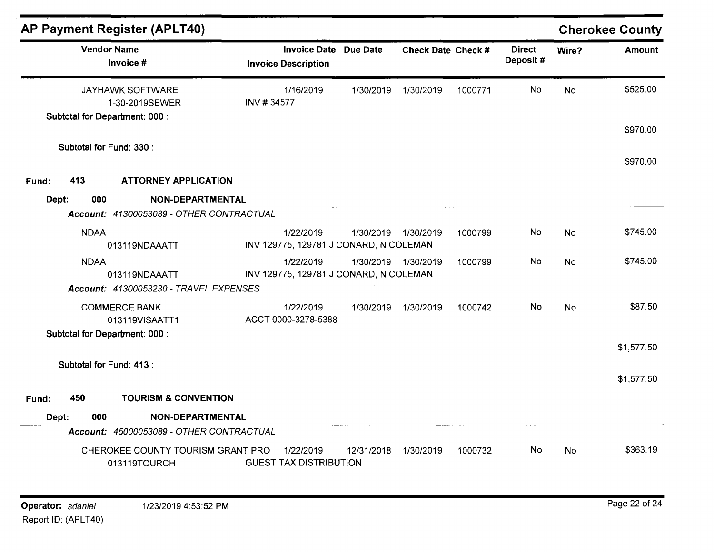|       |                                                                             | <b>AP Payment Register (APLT40)</b>               |                         |                                                     |                 |                    |         |                           |           | <b>Cherokee County</b> |
|-------|-----------------------------------------------------------------------------|---------------------------------------------------|-------------------------|-----------------------------------------------------|-----------------|--------------------|---------|---------------------------|-----------|------------------------|
|       |                                                                             | <b>Vendor Name</b><br>Invoice #                   |                         | <b>Invoice Date</b><br><b>Invoice Description</b>   | <b>Due Date</b> | Check Date Check # |         | <b>Direct</b><br>Deposit# | Wire?     | <b>Amount</b>          |
|       | <b>JAYHAWK SOFTWARE</b><br>1-30-2019SEWER<br>Subtotal for Department: 000 : |                                                   | 1/16/2019<br>INV #34577 |                                                     | 1/30/2019       | 1/30/2019          | 1000771 | <b>No</b>                 | <b>No</b> | \$525.00               |
|       |                                                                             |                                                   |                         |                                                     |                 |                    |         |                           |           | \$970.00               |
|       |                                                                             | Subtotal for Fund: 330 :                          |                         |                                                     |                 |                    |         |                           |           | \$970.00               |
| Fund: | 413                                                                         | <b>ATTORNEY APPLICATION</b>                       |                         |                                                     |                 |                    |         |                           |           |                        |
| Dept: | 000                                                                         | NON-DEPARTMENTAL                                  |                         |                                                     |                 |                    |         |                           |           |                        |
|       |                                                                             | Account: 41300053089 - OTHER CONTRACTUAL          |                         |                                                     |                 |                    |         |                           |           |                        |
|       | <b>NDAA</b>                                                                 | 013119NDAAATT                                     |                         | 1/22/2019<br>INV 129775, 129781 J CONARD, N COLEMAN | 1/30/2019       | 1/30/2019          | 1000799 | No                        | <b>No</b> | \$745.00               |
|       | <b>NDAA</b>                                                                 | 013119NDAAATT                                     |                         | 1/22/2019<br>INV 129775, 129781 J CONARD, N COLEMAN | 1/30/2019       | 1/30/2019          | 1000799 | No                        | <b>No</b> | \$745.00               |
|       |                                                                             | Account: 41300053230 - TRAVEL EXPENSES            |                         |                                                     |                 |                    |         |                           |           |                        |
|       |                                                                             | <b>COMMERCE BANK</b><br>013119VISAATT1            |                         | 1/22/2019<br>ACCT 0000-3278-5388                    | 1/30/2019       | 1/30/2019          | 1000742 | No.                       | No        | \$87.50                |
|       |                                                                             | Subtotal for Department: 000 :                    |                         |                                                     |                 |                    |         |                           |           | \$1,577.50             |
|       |                                                                             | Subtotal for Fund: 413 :                          |                         |                                                     |                 |                    |         |                           |           | \$1,577.50             |
| Fund: | 450                                                                         | <b>TOURISM &amp; CONVENTION</b>                   |                         |                                                     |                 |                    |         |                           |           |                        |
| Dept: | 000                                                                         | NON-DEPARTMENTAL                                  |                         |                                                     |                 |                    |         |                           |           |                        |
|       |                                                                             | Account: 45000053089 - OTHER CONTRACTUAL          |                         |                                                     |                 |                    |         |                           |           |                        |
|       |                                                                             | CHEROKEE COUNTY TOURISM GRANT PRO<br>013119TOURCH |                         | 1/22/2019<br><b>GUEST TAX DISTRIBUTION</b>          | 12/31/2018      | 1/30/2019          | 1000732 | No.                       | <b>No</b> | \$363.19               |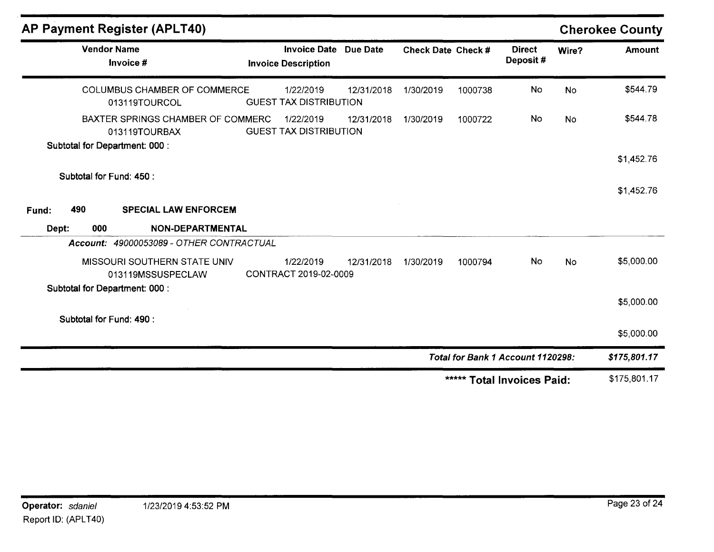| <b>AP Payment Register (APLT40)</b>                  |                                                   |            |                    |         |                                   |           | <b>Cherokee County</b> |
|------------------------------------------------------|---------------------------------------------------|------------|--------------------|---------|-----------------------------------|-----------|------------------------|
| <b>Vendor Name</b><br>Invoice #                      | <b>Invoice Date</b><br><b>Invoice Description</b> | Due Date   | Check Date Check # |         | <b>Direct</b><br>Deposit#         | Wire?     | <b>Amount</b>          |
| <b>COLUMBUS CHAMBER OF COMMERCE</b><br>013119TOURCOL | 1/22/2019<br><b>GUEST TAX DISTRIBUTION</b>        | 12/31/2018 | 1/30/2019          | 1000738 | No                                | <b>No</b> | \$544.79               |
| BAXTER SPRINGS CHAMBER OF COMMERC<br>013119TOURBAX   | 1/22/2019<br><b>GUEST TAX DISTRIBUTION</b>        | 12/31/2018 | 1/30/2019          | 1000722 | No                                | <b>No</b> | \$544.78               |
| Subtotal for Department: 000 :                       |                                                   |            |                    |         |                                   |           | \$1,452.76             |
| Subtotal for Fund: 450 :                             |                                                   |            |                    |         |                                   |           | \$1,452.76             |
| 490<br><b>SPECIAL LAW ENFORCEM</b><br>Fund:          |                                                   |            |                    |         |                                   |           |                        |
| 000<br>NON-DEPARTMENTAL<br>Dept:                     |                                                   |            |                    |         |                                   |           |                        |
| Account: 49000053089 - OTHER CONTRACTUAL             |                                                   |            |                    |         |                                   |           |                        |
| MISSOURI SOUTHERN STATE UNIV<br>013119MSSUSPECLAW    | 1/22/2019<br>CONTRACT 2019-02-0009                | 12/31/2018 | 1/30/2019          | 1000794 | No                                | <b>No</b> | \$5,000.00             |
| Subtotal for Department: 000 :                       |                                                   |            |                    |         |                                   |           | \$5,000.00             |
| Subtotal for Fund: 490 :                             |                                                   |            |                    |         |                                   |           | \$5,000.00             |
|                                                      |                                                   |            |                    |         | Total for Bank 1 Account 1120298: |           | \$175,801.17           |
|                                                      |                                                   |            |                    |         | ***** Total Invoices Paid:        |           | \$175,801.17           |